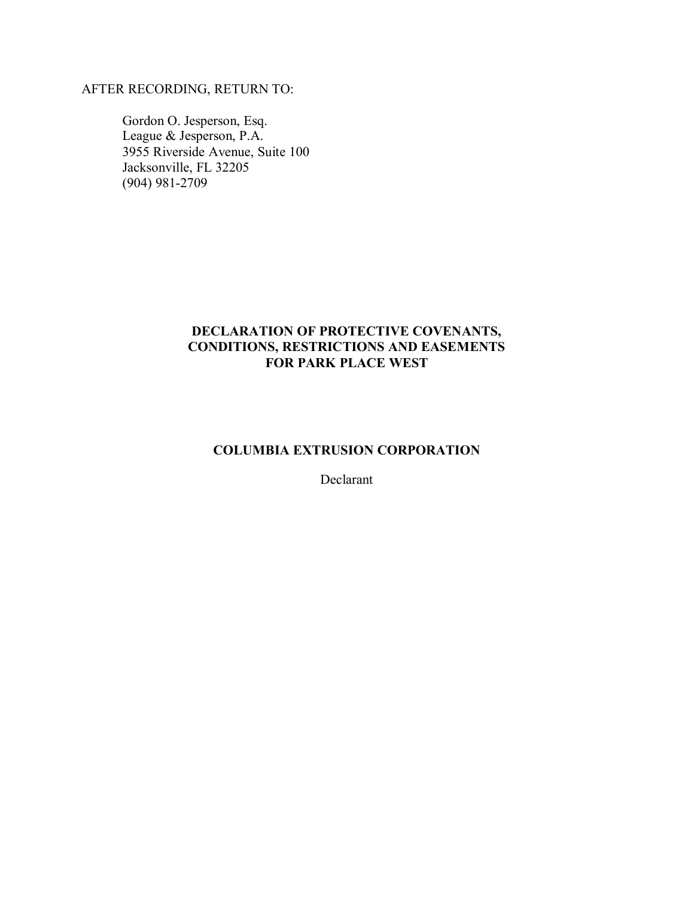# AFTER RECORDING, RETURN TO:

 Gordon O. Jesperson, Esq. League & Jesperson, P.A. 3955 Riverside Avenue, Suite 100 Jacksonville, FL 32205 (904) 981-2709

## **DECLARATION OF PROTECTIVE COVENANTS, CONDITIONS, RESTRICTIONS AND EASEMENTS FOR PARK PLACE WEST**

### **COLUMBIA EXTRUSION CORPORATION**

Declarant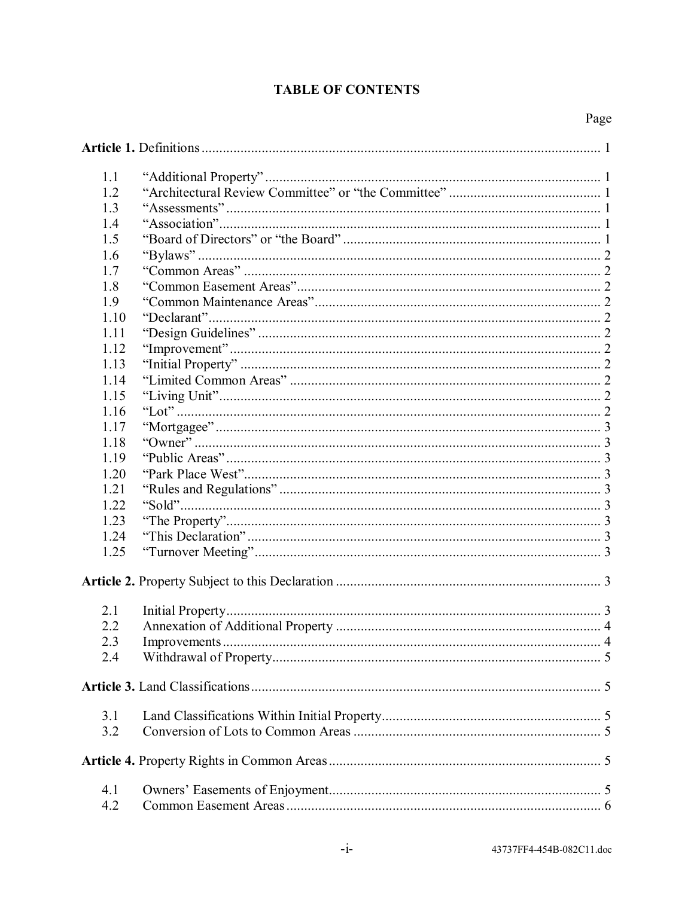# **TABLE OF CONTENTS**

| 1.1          |              |   |  |  |
|--------------|--------------|---|--|--|
| 1.2          |              |   |  |  |
| 1.3          |              |   |  |  |
| 1.4          |              |   |  |  |
| 1.5          |              |   |  |  |
| 1.6          |              |   |  |  |
| 1.7          |              |   |  |  |
| 1.8          |              |   |  |  |
| 1.9          |              |   |  |  |
| 1.10         |              |   |  |  |
| 1.11         |              |   |  |  |
| 1.12         |              |   |  |  |
| 1.13         |              |   |  |  |
| 1.14         |              |   |  |  |
| 1.15         |              |   |  |  |
|              |              |   |  |  |
| 1.16<br>1.17 |              |   |  |  |
|              |              |   |  |  |
| 1.18         |              |   |  |  |
| 1.19         |              |   |  |  |
| 1.20<br>1.21 |              |   |  |  |
| 1.22         |              |   |  |  |
|              |              |   |  |  |
| 1.23         |              |   |  |  |
| 1.24         |              |   |  |  |
| 1.25         |              |   |  |  |
|              |              |   |  |  |
| 2.1          |              |   |  |  |
| 2.2          |              |   |  |  |
| 2.3          | Improvements | 4 |  |  |
| 2.4          |              |   |  |  |
|              |              |   |  |  |
|              |              |   |  |  |
| 3.1          |              |   |  |  |
| 3.2          |              |   |  |  |
|              |              |   |  |  |
| 4.1          |              |   |  |  |
| 4.2          |              |   |  |  |
|              |              |   |  |  |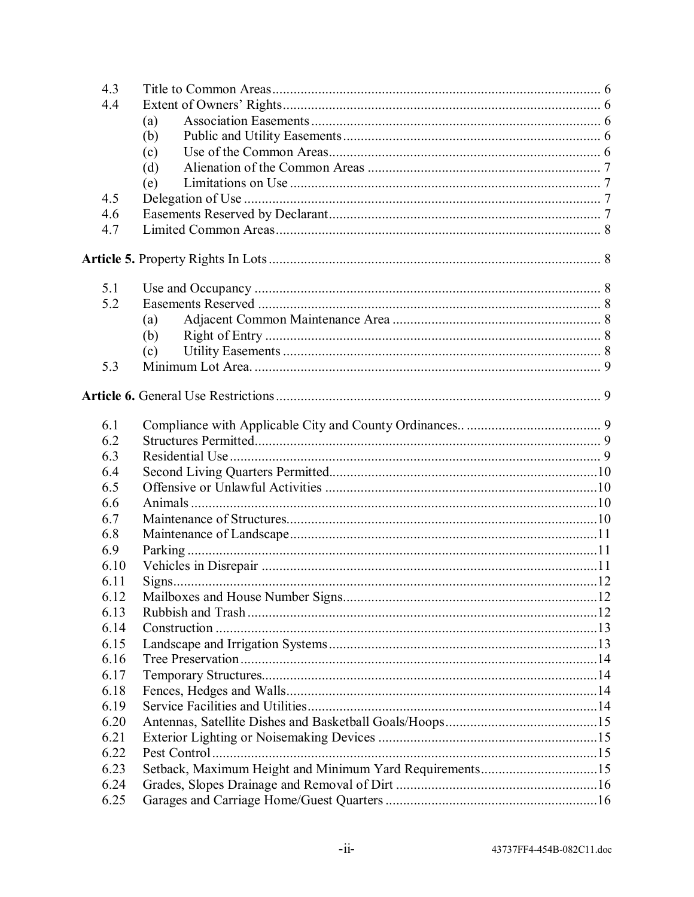| 4.3  |                                                         |  |
|------|---------------------------------------------------------|--|
| 4.4  |                                                         |  |
|      | (a)                                                     |  |
|      | (b)                                                     |  |
|      | (c)                                                     |  |
|      | (d)                                                     |  |
|      | (e)                                                     |  |
| 4.5  |                                                         |  |
| 4.6  |                                                         |  |
| 4.7  |                                                         |  |
|      |                                                         |  |
| 5.1  |                                                         |  |
| 5.2  |                                                         |  |
|      | (a)                                                     |  |
|      | (b)                                                     |  |
|      | (c)                                                     |  |
| 5.3  |                                                         |  |
|      |                                                         |  |
| 6.1  |                                                         |  |
| 6.2  |                                                         |  |
| 6.3  |                                                         |  |
| 6.4  |                                                         |  |
| 6.5  |                                                         |  |
| 6.6  |                                                         |  |
| 6.7  |                                                         |  |
| 6.8  |                                                         |  |
| 6.9  |                                                         |  |
| 6.10 |                                                         |  |
| 6.11 |                                                         |  |
| 6.12 |                                                         |  |
| 6.13 |                                                         |  |
| 6.14 |                                                         |  |
| 6.15 |                                                         |  |
| 6.16 |                                                         |  |
| 6.17 |                                                         |  |
| 6.18 |                                                         |  |
| 6.19 |                                                         |  |
| 6.20 |                                                         |  |
| 6.21 |                                                         |  |
| 6.22 |                                                         |  |
| 6.23 | Setback, Maximum Height and Minimum Yard Requirements15 |  |
| 6.24 |                                                         |  |
| 6.25 |                                                         |  |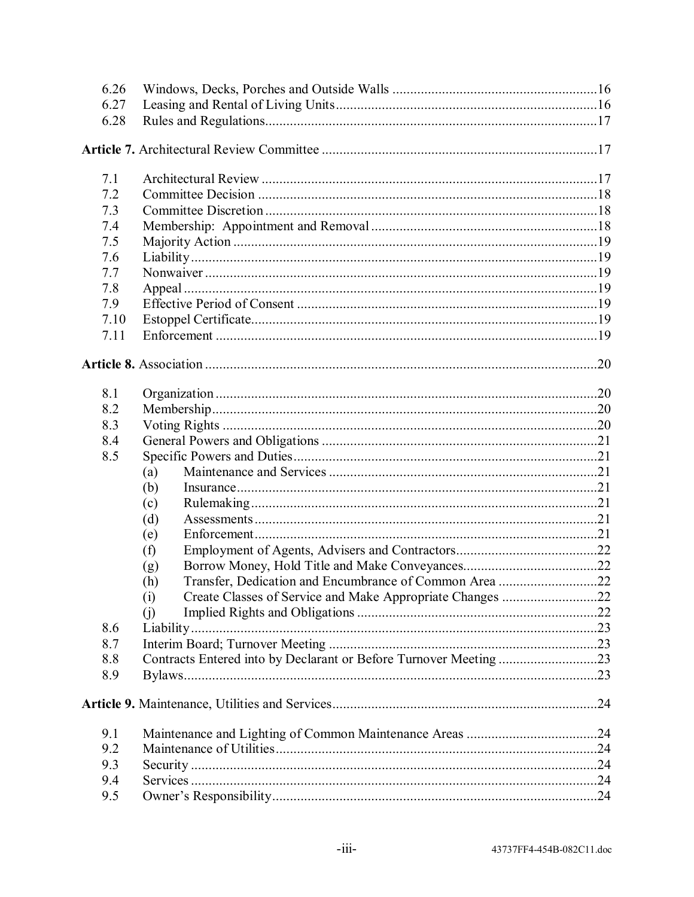| 6.26 |                                                                   |  |
|------|-------------------------------------------------------------------|--|
| 6.27 |                                                                   |  |
| 6.28 |                                                                   |  |
|      |                                                                   |  |
| 7.1  |                                                                   |  |
| 7.2  |                                                                   |  |
| 7.3  |                                                                   |  |
| 7.4  |                                                                   |  |
| 7.5  |                                                                   |  |
| 7.6  |                                                                   |  |
| 7.7  |                                                                   |  |
| 7.8  |                                                                   |  |
| 7.9  |                                                                   |  |
| 7.10 |                                                                   |  |
| 7.11 |                                                                   |  |
|      |                                                                   |  |
| 8.1  |                                                                   |  |
| 8.2  |                                                                   |  |
| 8.3  |                                                                   |  |
| 8.4  |                                                                   |  |
| 8.5  |                                                                   |  |
|      | (a)                                                               |  |
|      | (b)                                                               |  |
|      | (c)                                                               |  |
|      | (d)                                                               |  |
|      | (e)                                                               |  |
|      | (f)                                                               |  |
|      | (g)                                                               |  |
|      | Transfer, Dedication and Encumbrance of Common Area 22<br>(h)     |  |
|      | (i)                                                               |  |
|      | (i)                                                               |  |
| 8.6  |                                                                   |  |
| 8.7  |                                                                   |  |
| 8.8  | Contracts Entered into by Declarant or Before Turnover Meeting 23 |  |
| 8.9  |                                                                   |  |
|      |                                                                   |  |
| 9.1  |                                                                   |  |
| 9.2  |                                                                   |  |
| 9.3  |                                                                   |  |
| 9.4  |                                                                   |  |
| 9.5  |                                                                   |  |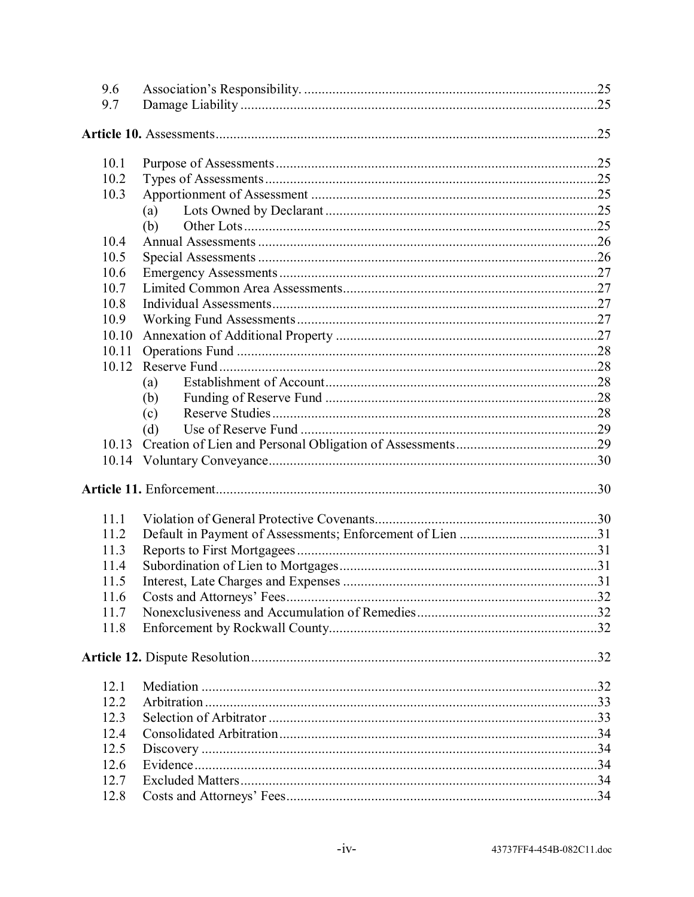| 9.6   |     |  |
|-------|-----|--|
| 9.7   |     |  |
|       |     |  |
|       |     |  |
| 10.1  |     |  |
| 10.2  |     |  |
| 10.3  |     |  |
|       | (a) |  |
|       | (b) |  |
| 10.4  |     |  |
| 10.5  |     |  |
| 10.6  |     |  |
| 10.7  |     |  |
| 10.8  |     |  |
| 10.9  |     |  |
| 10.10 |     |  |
| 10.11 |     |  |
| 10.12 |     |  |
|       | (a) |  |
|       | (b) |  |
|       | (c) |  |
|       | (d) |  |
|       |     |  |
|       |     |  |
|       |     |  |
|       |     |  |
| 11.1  |     |  |
| 11.2  |     |  |
| 11.3  |     |  |
| 11.4  |     |  |
| 11.5  |     |  |
| 11.6  |     |  |
| 11.7  |     |  |
| 11.8  |     |  |
|       |     |  |
|       |     |  |
| 12.1  |     |  |
| 12.2  |     |  |
| 12.3  |     |  |
| 12.4  |     |  |
| 12.5  |     |  |
| 12.6  |     |  |
| 12.7  |     |  |
| 12.8  |     |  |
|       |     |  |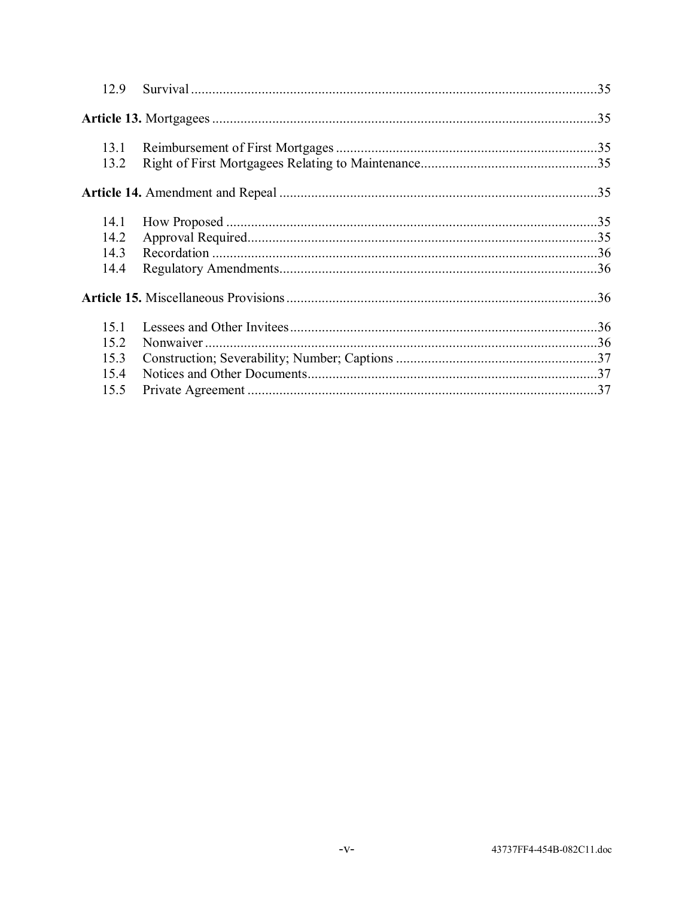| 12.9         |  |
|--------------|--|
|              |  |
| 13.1<br>13.2 |  |
|              |  |
| 14.1         |  |
| 14.2         |  |
| 14.3         |  |
| 14.4         |  |
|              |  |
| 15.1         |  |
| 15.2         |  |
| 15.3         |  |
| 15.4         |  |
| 15.5         |  |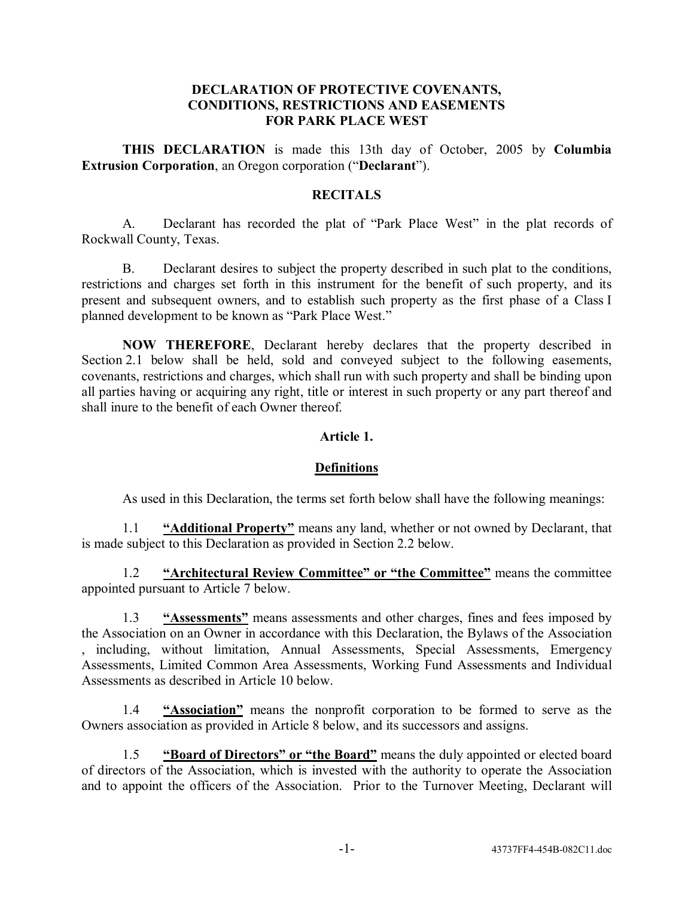#### **DECLARATION OF PROTECTIVE COVENANTS, CONDITIONS, RESTRICTIONS AND EASEMENTS FOR PARK PLACE WEST**

**THIS DECLARATION** is made this 13th day of October, 2005 by **Columbia Extrusion Corporation**, an Oregon corporation ("Declarant").

## **RECITALS**

A. Declarant has recorded the plat of "Park Place West" in the plat records of Rockwall County, Texas.

B. Declarant desires to subject the property described in such plat to the conditions, restrictions and charges set forth in this instrument for the benefit of such property, and its present and subsequent owners, and to establish such property as the first phase of a Class I planned development to be known as "Park Place West."

**NOW THEREFORE**, Declarant hereby declares that the property described in Section 2.1 below shall be held, sold and conveyed subject to the following easements, covenants, restrictions and charges, which shall run with such property and shall be binding upon all parties having or acquiring any right, title or interest in such property or any part thereof and shall inure to the benefit of each Owner thereof.

### **Article 1.**

#### **Definitions**

As used in this Declaration, the terms set forth below shall have the following meanings:

1.1 *iAdditional Property*<sup>*n*</sup> means any land, whether or not owned by Declarant, that is made subject to this Declaration as provided in Section 2.2 below.

1.2 *iArchitectural Review Committee* or "the Committee" means the committee appointed pursuant to Article 7 below.

1.3 *iAssessments* means assessments and other charges, fines and fees imposed by the Association on an Owner in accordance with this Declaration, the Bylaws of the Association , including, without limitation, Annual Assessments, Special Assessments, Emergency Assessments, Limited Common Area Assessments, Working Fund Assessments and Individual Assessments as described in Article 10 below.

1.4 *<u>'Association''</u>* means the nonprofit corporation to be formed to serve as the Owners association as provided in Article 8 below, and its successors and assigns.

1.5 *iBoard of Directors* or "the Board" means the duly appointed or elected board of directors of the Association, which is invested with the authority to operate the Association and to appoint the officers of the Association. Prior to the Turnover Meeting, Declarant will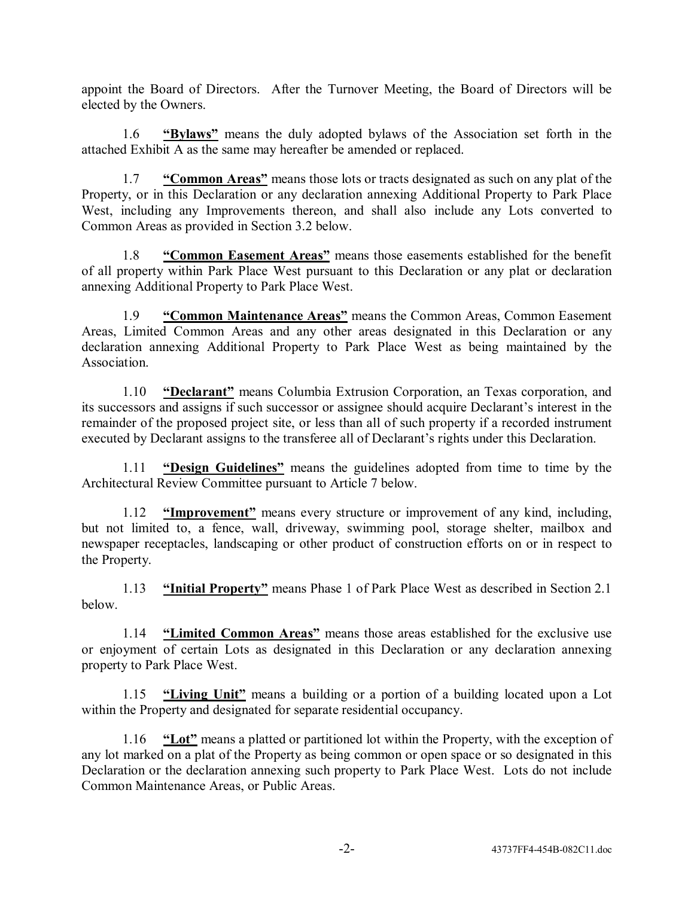appoint the Board of Directors. After the Turnover Meeting, the Board of Directors will be elected by the Owners.

1.6 *•Bylaws* means the duly adopted bylaws of the Association set forth in the attached Exhibit A as the same may hereafter be amended or replaced.

1.7 *i***Common Areas**<sup>*n*</sup> means those lots or tracts designated as such on any plat of the Property, or in this Declaration or any declaration annexing Additional Property to Park Place West, including any Improvements thereon, and shall also include any Lots converted to Common Areas as provided in Section 3.2 below.

1.8 *i***Common Easement Areas**<sup>*n*</sup> means those easements established for the benefit of all property within Park Place West pursuant to this Declaration or any plat or declaration annexing Additional Property to Park Place West.

1.9 **•• Common Maintenance Areas**<sup>*n*</sup> means the Common Areas, Common Easement Areas, Limited Common Areas and any other areas designated in this Declaration or any declaration annexing Additional Property to Park Place West as being maintained by the **Association** 

1.10 *Peclarant* means Columbia Extrusion Corporation, an Texas corporation, and its successors and assigns if such successor or assignee should acquire Declarant's interest in the remainder of the proposed project site, or less than all of such property if a recorded instrument executed by Declarant assigns to the transferee all of Declarant's rights under this Declaration.

1.11 **ìDesign Guidelinesî** means the guidelines adopted from time to time by the Architectural Review Committee pursuant to Article 7 below.

1.12 *iImprovement* means every structure or improvement of any kind, including, but not limited to, a fence, wall, driveway, swimming pool, storage shelter, mailbox and newspaper receptacles, landscaping or other product of construction efforts on or in respect to the Property.

1.13 *iiinitial Property* means Phase 1 of Park Place West as described in Section 2.1 below.

1.14 *<u>'Limited Common Areas''</u>* means those areas established for the exclusive use or enjoyment of certain Lots as designated in this Declaration or any declaration annexing property to Park Place West.

1.15 *iLiving Unit* means a building or a portion of a building located upon a Lot within the Property and designated for separate residential occupancy.

1.16 **<u><b>iLot**</u> means a platted or partitioned lot within the Property, with the exception of any lot marked on a plat of the Property as being common or open space or so designated in this Declaration or the declaration annexing such property to Park Place West. Lots do not include Common Maintenance Areas, or Public Areas.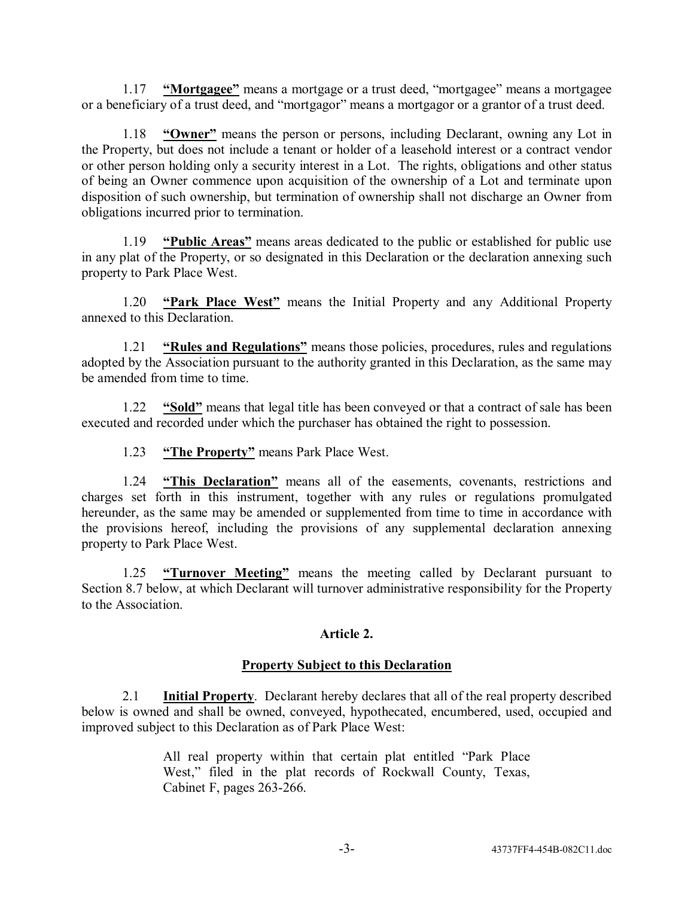1.17 *iiMortgagee* means a mortgage or a trust deed, "mortgagee" means a mortgagee or a beneficiary of a trust deed, and "mortgagor" means a mortgagor or a grantor of a trust deed.

1.18 *iOwner* means the person or persons, including Declarant, owning any Lot in the Property, but does not include a tenant or holder of a leasehold interest or a contract vendor or other person holding only a security interest in a Lot. The rights, obligations and other status of being an Owner commence upon acquisition of the ownership of a Lot and terminate upon disposition of such ownership, but termination of ownership shall not discharge an Owner from obligations incurred prior to termination.

1.19 **ìPublic Areasî** means areas dedicated to the public or established for public use in any plat of the Property, or so designated in this Declaration or the declaration annexing such property to Park Place West.

1.20 *Park Place West* means the Initial Property and any Additional Property annexed to this Declaration.

1.21 *<u>'Rules and Regulations''</u>* means those policies, procedures, rules and regulations adopted by the Association pursuant to the authority granted in this Declaration, as the same may be amended from time to time.

1.22 *iSold* means that legal title has been conveyed or that a contract of sale has been executed and recorded under which the purchaser has obtained the right to possession.

1.23 **• "The Property"** means Park Place West.

1.24 **ìThis Declarationî** means all of the easements, covenants, restrictions and charges set forth in this instrument, together with any rules or regulations promulgated hereunder, as the same may be amended or supplemented from time to time in accordance with the provisions hereof, including the provisions of any supplemental declaration annexing property to Park Place West.

1.25 *iTurnover Meeting* means the meeting called by Declarant pursuant to Section 8.7 below, at which Declarant will turnover administrative responsibility for the Property to the Association.

## **Article 2.**

#### **Property Subject to this Declaration**

2.1 **Initial Property**. Declarant hereby declares that all of the real property described below is owned and shall be owned, conveyed, hypothecated, encumbered, used, occupied and improved subject to this Declaration as of Park Place West:

> All real property within that certain plat entitled "Park Place" West," filed in the plat records of Rockwall County, Texas, Cabinet F, pages 263-266.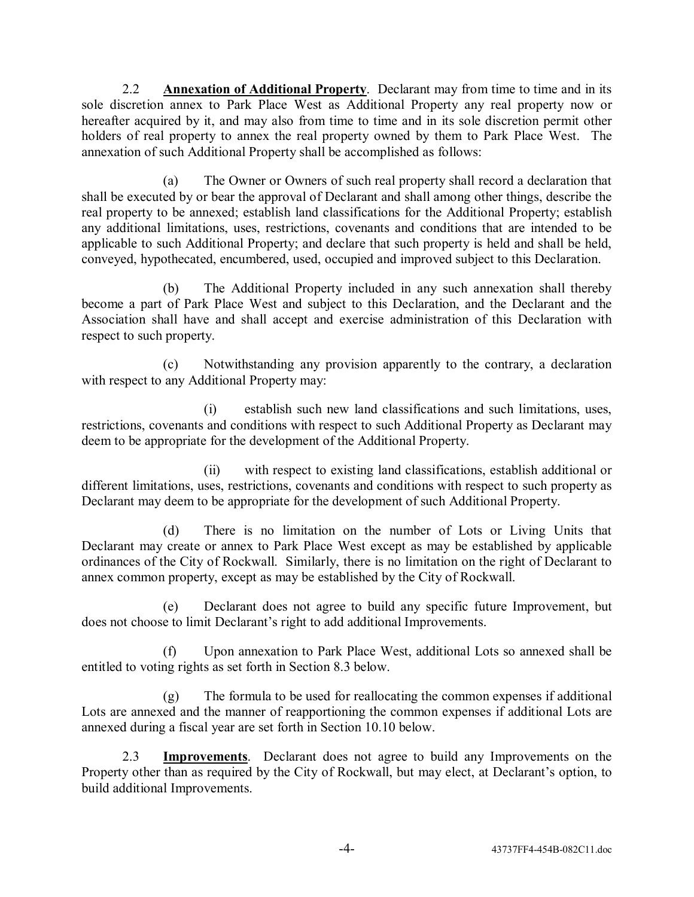2.2 **Annexation of Additional Property**. Declarant may from time to time and in its sole discretion annex to Park Place West as Additional Property any real property now or hereafter acquired by it, and may also from time to time and in its sole discretion permit other holders of real property to annex the real property owned by them to Park Place West. The annexation of such Additional Property shall be accomplished as follows:

(a) The Owner or Owners of such real property shall record a declaration that shall be executed by or bear the approval of Declarant and shall among other things, describe the real property to be annexed; establish land classifications for the Additional Property; establish any additional limitations, uses, restrictions, covenants and conditions that are intended to be applicable to such Additional Property; and declare that such property is held and shall be held, conveyed, hypothecated, encumbered, used, occupied and improved subject to this Declaration.

(b) The Additional Property included in any such annexation shall thereby become a part of Park Place West and subject to this Declaration, and the Declarant and the Association shall have and shall accept and exercise administration of this Declaration with respect to such property.

(c) Notwithstanding any provision apparently to the contrary, a declaration with respect to any Additional Property may:

(i) establish such new land classifications and such limitations, uses, restrictions, covenants and conditions with respect to such Additional Property as Declarant may deem to be appropriate for the development of the Additional Property.

(ii) with respect to existing land classifications, establish additional or different limitations, uses, restrictions, covenants and conditions with respect to such property as Declarant may deem to be appropriate for the development of such Additional Property.

(d) There is no limitation on the number of Lots or Living Units that Declarant may create or annex to Park Place West except as may be established by applicable ordinances of the City of Rockwall. Similarly, there is no limitation on the right of Declarant to annex common property, except as may be established by the City of Rockwall.

(e) Declarant does not agree to build any specific future Improvement, but does not choose to limit Declarant's right to add additional Improvements.

(f) Upon annexation to Park Place West, additional Lots so annexed shall be entitled to voting rights as set forth in Section 8.3 below.

(g) The formula to be used for reallocating the common expenses if additional Lots are annexed and the manner of reapportioning the common expenses if additional Lots are annexed during a fiscal year are set forth in Section 10.10 below.

2.3 **Improvements**. Declarant does not agree to build any Improvements on the Property other than as required by the City of Rockwall, but may elect, at Declarant's option, to build additional Improvements.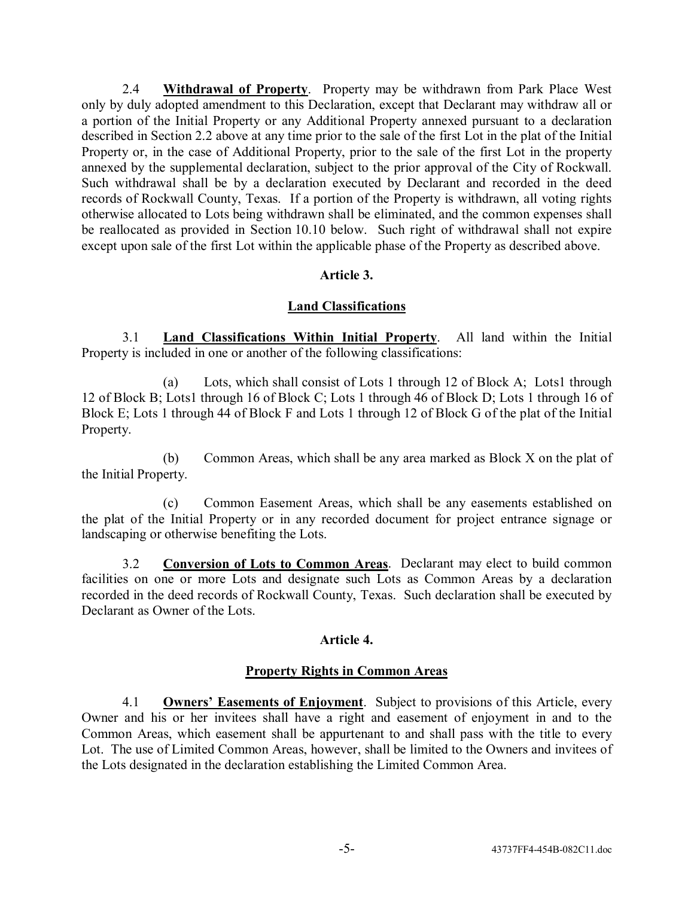2.4 **Withdrawal of Property**. Property may be withdrawn from Park Place West only by duly adopted amendment to this Declaration, except that Declarant may withdraw all or a portion of the Initial Property or any Additional Property annexed pursuant to a declaration described in Section 2.2 above at any time prior to the sale of the first Lot in the plat of the Initial Property or, in the case of Additional Property, prior to the sale of the first Lot in the property annexed by the supplemental declaration, subject to the prior approval of the City of Rockwall. Such withdrawal shall be by a declaration executed by Declarant and recorded in the deed records of Rockwall County, Texas. If a portion of the Property is withdrawn, all voting rights otherwise allocated to Lots being withdrawn shall be eliminated, and the common expenses shall be reallocated as provided in Section 10.10 below. Such right of withdrawal shall not expire except upon sale of the first Lot within the applicable phase of the Property as described above.

## **Article 3.**

## **Land Classifications**

3.1 **Land Classifications Within Initial Property**. All land within the Initial Property is included in one or another of the following classifications:

(a) Lots, which shall consist of Lots 1 through 12 of Block A; Lots1 through 12 of Block B; Lots1 through 16 of Block C; Lots 1 through 46 of Block D; Lots 1 through 16 of Block E; Lots 1 through 44 of Block F and Lots 1 through 12 of Block G of the plat of the Initial Property.

(b) Common Areas, which shall be any area marked as Block X on the plat of the Initial Property.

(c) Common Easement Areas, which shall be any easements established on the plat of the Initial Property or in any recorded document for project entrance signage or landscaping or otherwise benefiting the Lots.

3.2 **Conversion of Lots to Common Areas**. Declarant may elect to build common facilities on one or more Lots and designate such Lots as Common Areas by a declaration recorded in the deed records of Rockwall County, Texas. Such declaration shall be executed by Declarant as Owner of the Lots.

## **Article 4.**

#### **Property Rights in Common Areas**

4.1 **Ownersí Easements of Enjoyment**. Subject to provisions of this Article, every Owner and his or her invitees shall have a right and easement of enjoyment in and to the Common Areas, which easement shall be appurtenant to and shall pass with the title to every Lot. The use of Limited Common Areas, however, shall be limited to the Owners and invitees of the Lots designated in the declaration establishing the Limited Common Area.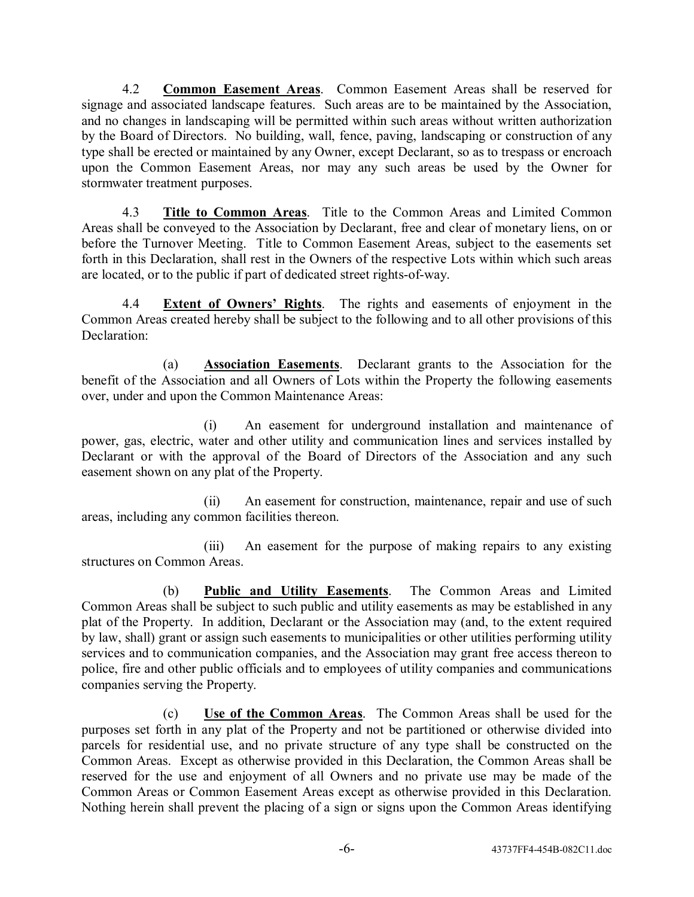4.2 **Common Easement Areas**. Common Easement Areas shall be reserved for signage and associated landscape features. Such areas are to be maintained by the Association, and no changes in landscaping will be permitted within such areas without written authorization by the Board of Directors. No building, wall, fence, paving, landscaping or construction of any type shall be erected or maintained by any Owner, except Declarant, so as to trespass or encroach upon the Common Easement Areas, nor may any such areas be used by the Owner for stormwater treatment purposes.

4.3 **Title to Common Areas**. Title to the Common Areas and Limited Common Areas shall be conveyed to the Association by Declarant, free and clear of monetary liens, on or before the Turnover Meeting. Title to Common Easement Areas, subject to the easements set forth in this Declaration, shall rest in the Owners of the respective Lots within which such areas are located, or to the public if part of dedicated street rights-of-way.

4.4 **Extent of Ownersí Rights**. The rights and easements of enjoyment in the Common Areas created hereby shall be subject to the following and to all other provisions of this Declaration<sup>.</sup>

(a) **Association Easements**. Declarant grants to the Association for the benefit of the Association and all Owners of Lots within the Property the following easements over, under and upon the Common Maintenance Areas:

(i) An easement for underground installation and maintenance of power, gas, electric, water and other utility and communication lines and services installed by Declarant or with the approval of the Board of Directors of the Association and any such easement shown on any plat of the Property.

(ii) An easement for construction, maintenance, repair and use of such areas, including any common facilities thereon.

(iii) An easement for the purpose of making repairs to any existing structures on Common Areas.

(b) **Public and Utility Easements**. The Common Areas and Limited Common Areas shall be subject to such public and utility easements as may be established in any plat of the Property. In addition, Declarant or the Association may (and, to the extent required by law, shall) grant or assign such easements to municipalities or other utilities performing utility services and to communication companies, and the Association may grant free access thereon to police, fire and other public officials and to employees of utility companies and communications companies serving the Property.

(c) **Use of the Common Areas**. The Common Areas shall be used for the purposes set forth in any plat of the Property and not be partitioned or otherwise divided into parcels for residential use, and no private structure of any type shall be constructed on the Common Areas. Except as otherwise provided in this Declaration, the Common Areas shall be reserved for the use and enjoyment of all Owners and no private use may be made of the Common Areas or Common Easement Areas except as otherwise provided in this Declaration. Nothing herein shall prevent the placing of a sign or signs upon the Common Areas identifying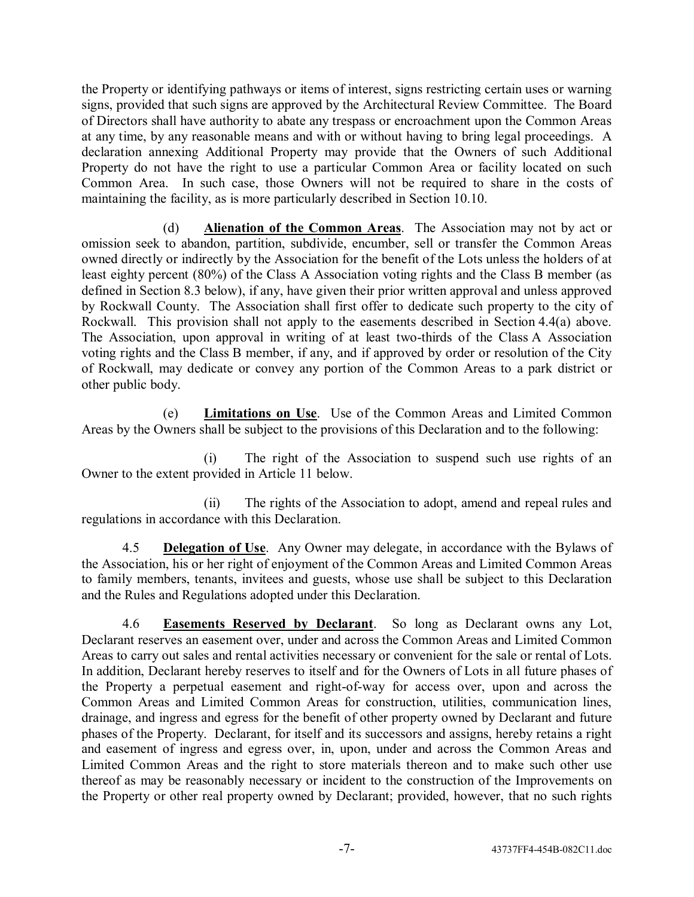the Property or identifying pathways or items of interest, signs restricting certain uses or warning signs, provided that such signs are approved by the Architectural Review Committee. The Board of Directors shall have authority to abate any trespass or encroachment upon the Common Areas at any time, by any reasonable means and with or without having to bring legal proceedings. A declaration annexing Additional Property may provide that the Owners of such Additional Property do not have the right to use a particular Common Area or facility located on such Common Area. In such case, those Owners will not be required to share in the costs of maintaining the facility, as is more particularly described in Section 10.10.

(d) **Alienation of the Common Areas**. The Association may not by act or omission seek to abandon, partition, subdivide, encumber, sell or transfer the Common Areas owned directly or indirectly by the Association for the benefit of the Lots unless the holders of at least eighty percent (80%) of the Class A Association voting rights and the Class B member (as defined in Section 8.3 below), if any, have given their prior written approval and unless approved by Rockwall County. The Association shall first offer to dedicate such property to the city of Rockwall. This provision shall not apply to the easements described in Section 4.4(a) above. The Association, upon approval in writing of at least two-thirds of the Class A Association voting rights and the Class B member, if any, and if approved by order or resolution of the City of Rockwall, may dedicate or convey any portion of the Common Areas to a park district or other public body.

(e) **Limitations on Use**. Use of the Common Areas and Limited Common Areas by the Owners shall be subject to the provisions of this Declaration and to the following:

(i) The right of the Association to suspend such use rights of an Owner to the extent provided in Article 11 below.

(ii) The rights of the Association to adopt, amend and repeal rules and regulations in accordance with this Declaration.

4.5 **Delegation of Use**. Any Owner may delegate, in accordance with the Bylaws of the Association, his or her right of enjoyment of the Common Areas and Limited Common Areas to family members, tenants, invitees and guests, whose use shall be subject to this Declaration and the Rules and Regulations adopted under this Declaration.

4.6 **Easements Reserved by Declarant**. So long as Declarant owns any Lot, Declarant reserves an easement over, under and across the Common Areas and Limited Common Areas to carry out sales and rental activities necessary or convenient for the sale or rental of Lots. In addition, Declarant hereby reserves to itself and for the Owners of Lots in all future phases of the Property a perpetual easement and right-of-way for access over, upon and across the Common Areas and Limited Common Areas for construction, utilities, communication lines, drainage, and ingress and egress for the benefit of other property owned by Declarant and future phases of the Property. Declarant, for itself and its successors and assigns, hereby retains a right and easement of ingress and egress over, in, upon, under and across the Common Areas and Limited Common Areas and the right to store materials thereon and to make such other use thereof as may be reasonably necessary or incident to the construction of the Improvements on the Property or other real property owned by Declarant; provided, however, that no such rights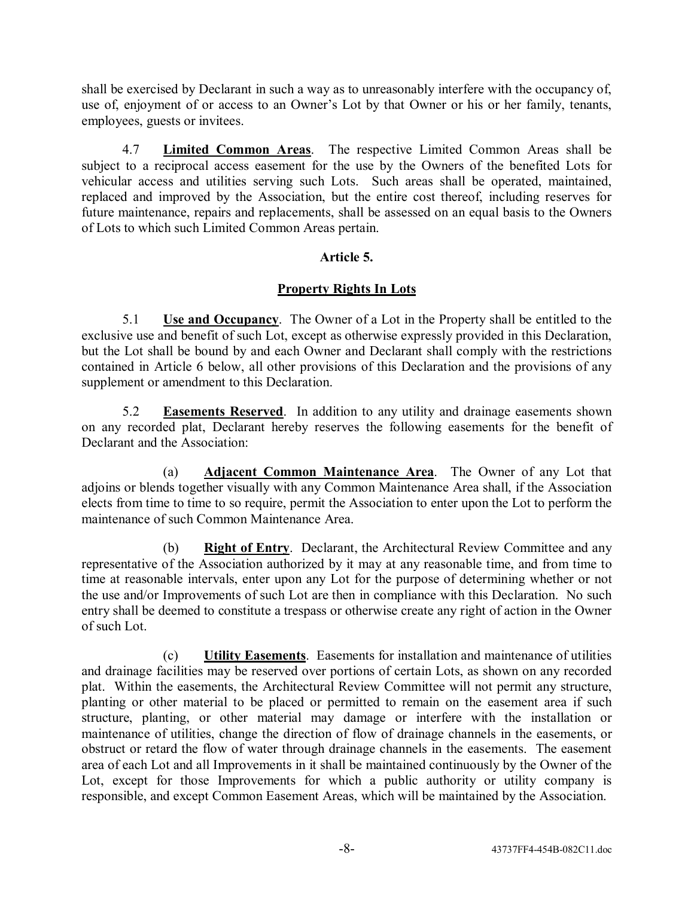shall be exercised by Declarant in such a way as to unreasonably interfere with the occupancy of, use of, enjoyment of or access to an Owner's Lot by that Owner or his or her family, tenants, employees, guests or invitees.

4.7 **Limited Common Areas**. The respective Limited Common Areas shall be subject to a reciprocal access easement for the use by the Owners of the benefited Lots for vehicular access and utilities serving such Lots. Such areas shall be operated, maintained, replaced and improved by the Association, but the entire cost thereof, including reserves for future maintenance, repairs and replacements, shall be assessed on an equal basis to the Owners of Lots to which such Limited Common Areas pertain.

## **Article 5.**

## **Property Rights In Lots**

5.1 **Use and Occupancy**. The Owner of a Lot in the Property shall be entitled to the exclusive use and benefit of such Lot, except as otherwise expressly provided in this Declaration, but the Lot shall be bound by and each Owner and Declarant shall comply with the restrictions contained in Article 6 below, all other provisions of this Declaration and the provisions of any supplement or amendment to this Declaration.

5.2 **Easements Reserved**. In addition to any utility and drainage easements shown on any recorded plat, Declarant hereby reserves the following easements for the benefit of Declarant and the Association:

(a) **Adjacent Common Maintenance Area**. The Owner of any Lot that adjoins or blends together visually with any Common Maintenance Area shall, if the Association elects from time to time to so require, permit the Association to enter upon the Lot to perform the maintenance of such Common Maintenance Area.

(b) **Right of Entry**. Declarant, the Architectural Review Committee and any representative of the Association authorized by it may at any reasonable time, and from time to time at reasonable intervals, enter upon any Lot for the purpose of determining whether or not the use and/or Improvements of such Lot are then in compliance with this Declaration. No such entry shall be deemed to constitute a trespass or otherwise create any right of action in the Owner of such Lot.

(c) **Utility Easements**. Easements for installation and maintenance of utilities and drainage facilities may be reserved over portions of certain Lots, as shown on any recorded plat. Within the easements, the Architectural Review Committee will not permit any structure, planting or other material to be placed or permitted to remain on the easement area if such structure, planting, or other material may damage or interfere with the installation or maintenance of utilities, change the direction of flow of drainage channels in the easements, or obstruct or retard the flow of water through drainage channels in the easements. The easement area of each Lot and all Improvements in it shall be maintained continuously by the Owner of the Lot, except for those Improvements for which a public authority or utility company is responsible, and except Common Easement Areas, which will be maintained by the Association.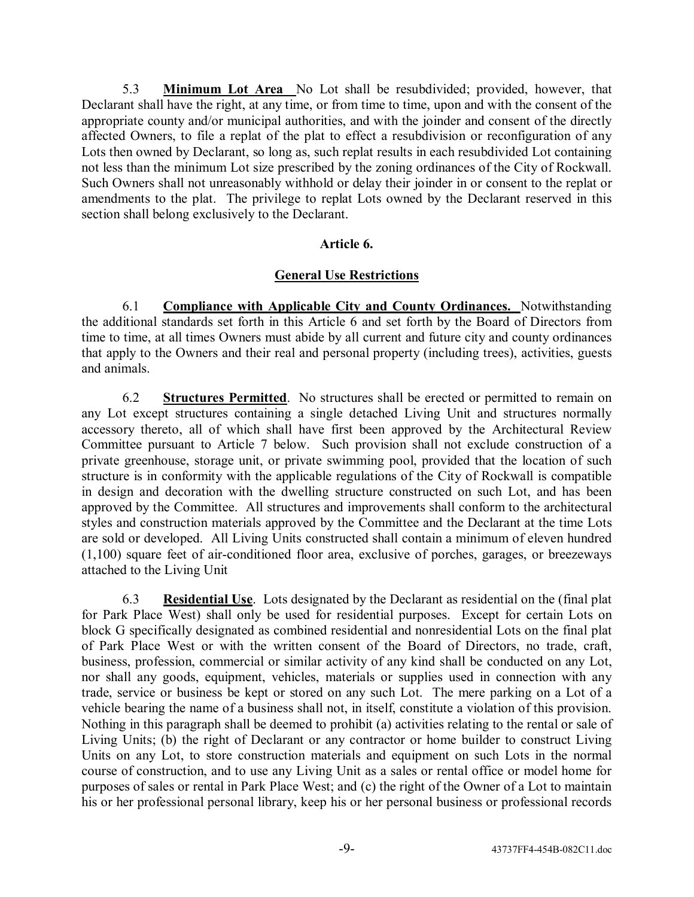5.3 **Minimum Lot Area** No Lot shall be resubdivided; provided, however, that Declarant shall have the right, at any time, or from time to time, upon and with the consent of the appropriate county and/or municipal authorities, and with the joinder and consent of the directly affected Owners, to file a replat of the plat to effect a resubdivision or reconfiguration of any Lots then owned by Declarant, so long as, such replat results in each resubdivided Lot containing not less than the minimum Lot size prescribed by the zoning ordinances of the City of Rockwall. Such Owners shall not unreasonably withhold or delay their joinder in or consent to the replat or amendments to the plat. The privilege to replat Lots owned by the Declarant reserved in this section shall belong exclusively to the Declarant.

## **Article 6.**

## **General Use Restrictions**

6.1 **Compliance with Applicable City and County Ordinances.** Notwithstanding the additional standards set forth in this Article 6 and set forth by the Board of Directors from time to time, at all times Owners must abide by all current and future city and county ordinances that apply to the Owners and their real and personal property (including trees), activities, guests and animals.

6.2 **Structures Permitted**. No structures shall be erected or permitted to remain on any Lot except structures containing a single detached Living Unit and structures normally accessory thereto, all of which shall have first been approved by the Architectural Review Committee pursuant to Article 7 below. Such provision shall not exclude construction of a private greenhouse, storage unit, or private swimming pool, provided that the location of such structure is in conformity with the applicable regulations of the City of Rockwall is compatible in design and decoration with the dwelling structure constructed on such Lot, and has been approved by the Committee. All structures and improvements shall conform to the architectural styles and construction materials approved by the Committee and the Declarant at the time Lots are sold or developed. All Living Units constructed shall contain a minimum of eleven hundred (1,100) square feet of air-conditioned floor area, exclusive of porches, garages, or breezeways attached to the Living Unit

6.3 **Residential Use**. Lots designated by the Declarant as residential on the (final plat for Park Place West) shall only be used for residential purposes. Except for certain Lots on block G specifically designated as combined residential and nonresidential Lots on the final plat of Park Place West or with the written consent of the Board of Directors, no trade, craft, business, profession, commercial or similar activity of any kind shall be conducted on any Lot, nor shall any goods, equipment, vehicles, materials or supplies used in connection with any trade, service or business be kept or stored on any such Lot. The mere parking on a Lot of a vehicle bearing the name of a business shall not, in itself, constitute a violation of this provision. Nothing in this paragraph shall be deemed to prohibit (a) activities relating to the rental or sale of Living Units; (b) the right of Declarant or any contractor or home builder to construct Living Units on any Lot, to store construction materials and equipment on such Lots in the normal course of construction, and to use any Living Unit as a sales or rental office or model home for purposes of sales or rental in Park Place West; and (c) the right of the Owner of a Lot to maintain his or her professional personal library, keep his or her personal business or professional records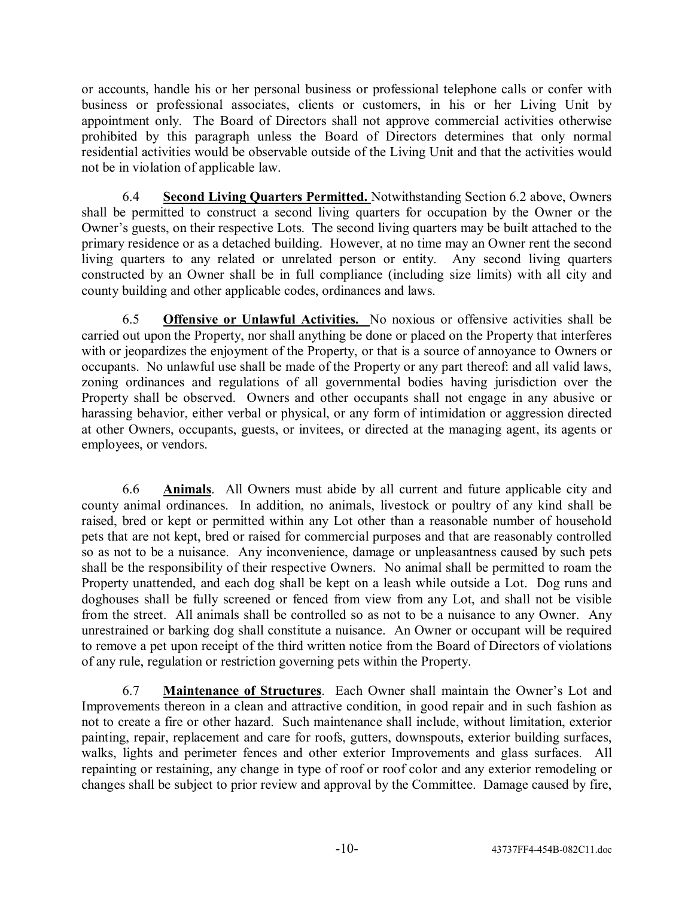or accounts, handle his or her personal business or professional telephone calls or confer with business or professional associates, clients or customers, in his or her Living Unit by appointment only. The Board of Directors shall not approve commercial activities otherwise prohibited by this paragraph unless the Board of Directors determines that only normal residential activities would be observable outside of the Living Unit and that the activities would not be in violation of applicable law.

6.4 **Second Living Quarters Permitted.** Notwithstanding Section 6.2 above, Owners shall be permitted to construct a second living quarters for occupation by the Owner or the Owner's guests, on their respective Lots. The second living quarters may be built attached to the primary residence or as a detached building. However, at no time may an Owner rent the second living quarters to any related or unrelated person or entity. Any second living quarters constructed by an Owner shall be in full compliance (including size limits) with all city and county building and other applicable codes, ordinances and laws.

6.5 **Offensive or Unlawful Activities.** No noxious or offensive activities shall be carried out upon the Property, nor shall anything be done or placed on the Property that interferes with or jeopardizes the enjoyment of the Property, or that is a source of annoyance to Owners or occupants. No unlawful use shall be made of the Property or any part thereof: and all valid laws, zoning ordinances and regulations of all governmental bodies having jurisdiction over the Property shall be observed. Owners and other occupants shall not engage in any abusive or harassing behavior, either verbal or physical, or any form of intimidation or aggression directed at other Owners, occupants, guests, or invitees, or directed at the managing agent, its agents or employees, or vendors.

6.6 **Animals**. All Owners must abide by all current and future applicable city and county animal ordinances. In addition, no animals, livestock or poultry of any kind shall be raised, bred or kept or permitted within any Lot other than a reasonable number of household pets that are not kept, bred or raised for commercial purposes and that are reasonably controlled so as not to be a nuisance. Any inconvenience, damage or unpleasantness caused by such pets shall be the responsibility of their respective Owners. No animal shall be permitted to roam the Property unattended, and each dog shall be kept on a leash while outside a Lot. Dog runs and doghouses shall be fully screened or fenced from view from any Lot, and shall not be visible from the street. All animals shall be controlled so as not to be a nuisance to any Owner. Any unrestrained or barking dog shall constitute a nuisance. An Owner or occupant will be required to remove a pet upon receipt of the third written notice from the Board of Directors of violations of any rule, regulation or restriction governing pets within the Property.

6.7 **Maintenance of Structures**. Each Owner shall maintain the Ownerís Lot and Improvements thereon in a clean and attractive condition, in good repair and in such fashion as not to create a fire or other hazard. Such maintenance shall include, without limitation, exterior painting, repair, replacement and care for roofs, gutters, downspouts, exterior building surfaces, walks, lights and perimeter fences and other exterior Improvements and glass surfaces. All repainting or restaining, any change in type of roof or roof color and any exterior remodeling or changes shall be subject to prior review and approval by the Committee. Damage caused by fire,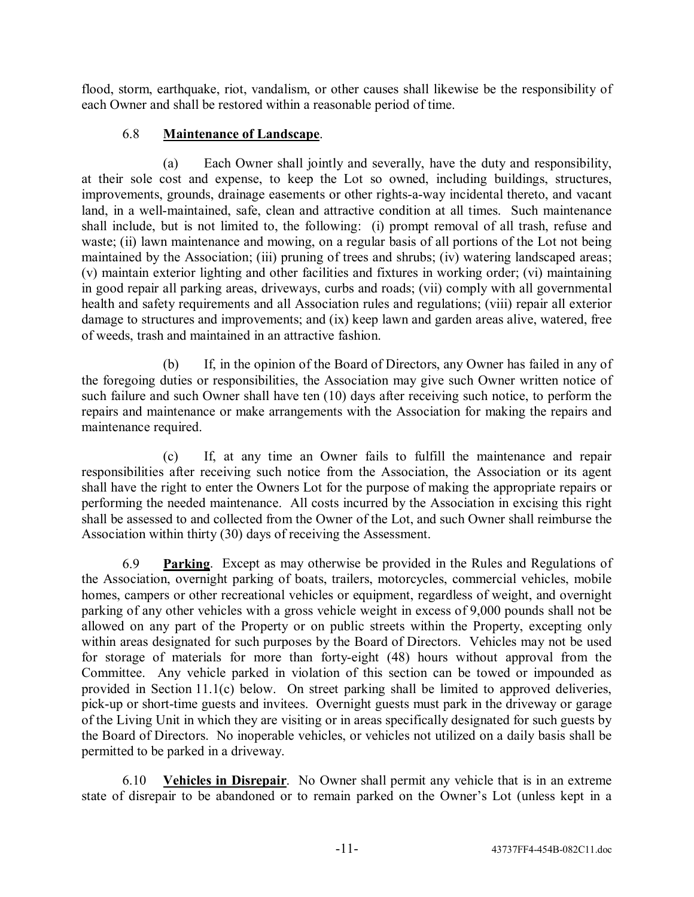flood, storm, earthquake, riot, vandalism, or other causes shall likewise be the responsibility of each Owner and shall be restored within a reasonable period of time.

# 6.8 **Maintenance of Landscape**.

(a) Each Owner shall jointly and severally, have the duty and responsibility, at their sole cost and expense, to keep the Lot so owned, including buildings, structures, improvements, grounds, drainage easements or other rights-a-way incidental thereto, and vacant land, in a well-maintained, safe, clean and attractive condition at all times. Such maintenance shall include, but is not limited to, the following: (i) prompt removal of all trash, refuse and waste; (ii) lawn maintenance and mowing, on a regular basis of all portions of the Lot not being maintained by the Association; (iii) pruning of trees and shrubs; (iv) watering landscaped areas; (v) maintain exterior lighting and other facilities and fixtures in working order; (vi) maintaining in good repair all parking areas, driveways, curbs and roads; (vii) comply with all governmental health and safety requirements and all Association rules and regulations; (viii) repair all exterior damage to structures and improvements; and (ix) keep lawn and garden areas alive, watered, free of weeds, trash and maintained in an attractive fashion.

(b) If, in the opinion of the Board of Directors, any Owner has failed in any of the foregoing duties or responsibilities, the Association may give such Owner written notice of such failure and such Owner shall have ten (10) days after receiving such notice, to perform the repairs and maintenance or make arrangements with the Association for making the repairs and maintenance required.

(c) If, at any time an Owner fails to fulfill the maintenance and repair responsibilities after receiving such notice from the Association, the Association or its agent shall have the right to enter the Owners Lot for the purpose of making the appropriate repairs or performing the needed maintenance. All costs incurred by the Association in excising this right shall be assessed to and collected from the Owner of the Lot, and such Owner shall reimburse the Association within thirty (30) days of receiving the Assessment.

6.9 **Parking**. Except as may otherwise be provided in the Rules and Regulations of the Association, overnight parking of boats, trailers, motorcycles, commercial vehicles, mobile homes, campers or other recreational vehicles or equipment, regardless of weight, and overnight parking of any other vehicles with a gross vehicle weight in excess of 9,000 pounds shall not be allowed on any part of the Property or on public streets within the Property, excepting only within areas designated for such purposes by the Board of Directors. Vehicles may not be used for storage of materials for more than forty-eight (48) hours without approval from the Committee. Any vehicle parked in violation of this section can be towed or impounded as provided in Section 11.1(c) below. On street parking shall be limited to approved deliveries, pick-up or short-time guests and invitees. Overnight guests must park in the driveway or garage of the Living Unit in which they are visiting or in areas specifically designated for such guests by the Board of Directors. No inoperable vehicles, or vehicles not utilized on a daily basis shall be permitted to be parked in a driveway.

6.10 **Vehicles in Disrepair**. No Owner shall permit any vehicle that is in an extreme state of disrepair to be abandoned or to remain parked on the Owner's Lot (unless kept in a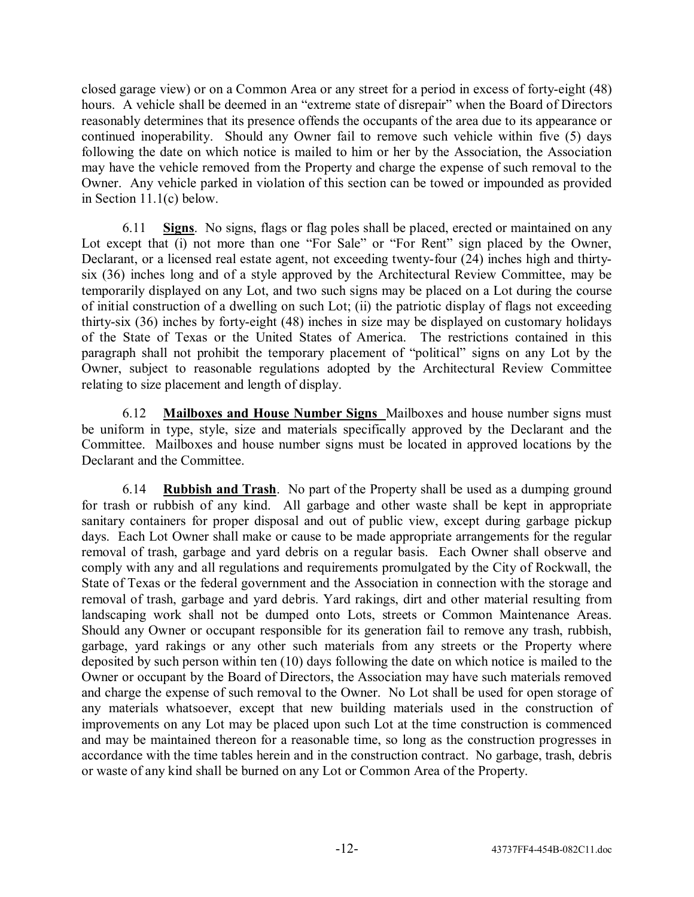closed garage view) or on a Common Area or any street for a period in excess of forty-eight (48) hours. A vehicle shall be deemed in an "extreme state of disrepair" when the Board of Directors reasonably determines that its presence offends the occupants of the area due to its appearance or continued inoperability. Should any Owner fail to remove such vehicle within five (5) days following the date on which notice is mailed to him or her by the Association, the Association may have the vehicle removed from the Property and charge the expense of such removal to the Owner. Any vehicle parked in violation of this section can be towed or impounded as provided in Section 11.1(c) below.

6.11 **Signs**. No signs, flags or flag poles shall be placed, erected or maintained on any Lot except that (i) not more than one "For Sale" or "For Rent" sign placed by the Owner, Declarant, or a licensed real estate agent, not exceeding twenty-four (24) inches high and thirtysix (36) inches long and of a style approved by the Architectural Review Committee, may be temporarily displayed on any Lot, and two such signs may be placed on a Lot during the course of initial construction of a dwelling on such Lot; (ii) the patriotic display of flags not exceeding thirty-six (36) inches by forty-eight (48) inches in size may be displayed on customary holidays of the State of Texas or the United States of America. The restrictions contained in this paragraph shall not prohibit the temporary placement of "political" signs on any Lot by the Owner, subject to reasonable regulations adopted by the Architectural Review Committee relating to size placement and length of display.

6.12 **Mailboxes and House Number Signs** Mailboxes and house number signs must be uniform in type, style, size and materials specifically approved by the Declarant and the Committee. Mailboxes and house number signs must be located in approved locations by the Declarant and the Committee.

6.14 **Rubbish and Trash**. No part of the Property shall be used as a dumping ground for trash or rubbish of any kind. All garbage and other waste shall be kept in appropriate sanitary containers for proper disposal and out of public view, except during garbage pickup days. Each Lot Owner shall make or cause to be made appropriate arrangements for the regular removal of trash, garbage and yard debris on a regular basis. Each Owner shall observe and comply with any and all regulations and requirements promulgated by the City of Rockwall, the State of Texas or the federal government and the Association in connection with the storage and removal of trash, garbage and yard debris. Yard rakings, dirt and other material resulting from landscaping work shall not be dumped onto Lots, streets or Common Maintenance Areas. Should any Owner or occupant responsible for its generation fail to remove any trash, rubbish, garbage, yard rakings or any other such materials from any streets or the Property where deposited by such person within ten (10) days following the date on which notice is mailed to the Owner or occupant by the Board of Directors, the Association may have such materials removed and charge the expense of such removal to the Owner. No Lot shall be used for open storage of any materials whatsoever, except that new building materials used in the construction of improvements on any Lot may be placed upon such Lot at the time construction is commenced and may be maintained thereon for a reasonable time, so long as the construction progresses in accordance with the time tables herein and in the construction contract. No garbage, trash, debris or waste of any kind shall be burned on any Lot or Common Area of the Property.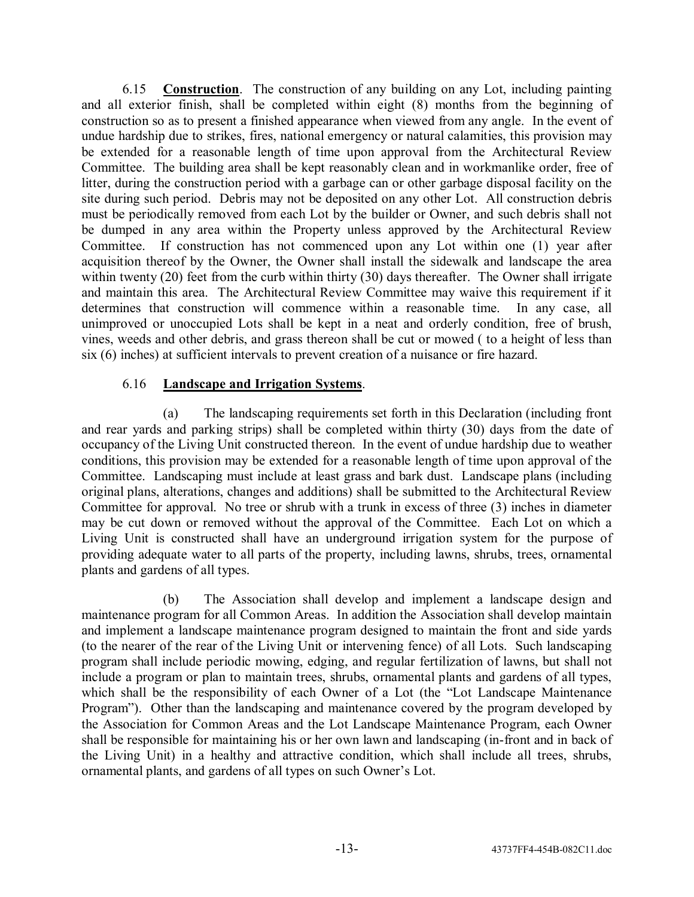6.15 **Construction**. The construction of any building on any Lot, including painting and all exterior finish, shall be completed within eight (8) months from the beginning of construction so as to present a finished appearance when viewed from any angle. In the event of undue hardship due to strikes, fires, national emergency or natural calamities, this provision may be extended for a reasonable length of time upon approval from the Architectural Review Committee. The building area shall be kept reasonably clean and in workmanlike order, free of litter, during the construction period with a garbage can or other garbage disposal facility on the site during such period. Debris may not be deposited on any other Lot. All construction debris must be periodically removed from each Lot by the builder or Owner, and such debris shall not be dumped in any area within the Property unless approved by the Architectural Review Committee. If construction has not commenced upon any Lot within one (1) year after acquisition thereof by the Owner, the Owner shall install the sidewalk and landscape the area within twenty (20) feet from the curb within thirty (30) days thereafter. The Owner shall irrigate and maintain this area. The Architectural Review Committee may waive this requirement if it determines that construction will commence within a reasonable time. In any case, all unimproved or unoccupied Lots shall be kept in a neat and orderly condition, free of brush, vines, weeds and other debris, and grass thereon shall be cut or mowed ( to a height of less than six (6) inches) at sufficient intervals to prevent creation of a nuisance or fire hazard.

## 6.16 **Landscape and Irrigation Systems**.

(a) The landscaping requirements set forth in this Declaration (including front and rear yards and parking strips) shall be completed within thirty (30) days from the date of occupancy of the Living Unit constructed thereon. In the event of undue hardship due to weather conditions, this provision may be extended for a reasonable length of time upon approval of the Committee. Landscaping must include at least grass and bark dust. Landscape plans (including original plans, alterations, changes and additions) shall be submitted to the Architectural Review Committee for approval. No tree or shrub with a trunk in excess of three (3) inches in diameter may be cut down or removed without the approval of the Committee. Each Lot on which a Living Unit is constructed shall have an underground irrigation system for the purpose of providing adequate water to all parts of the property, including lawns, shrubs, trees, ornamental plants and gardens of all types.

(b) The Association shall develop and implement a landscape design and maintenance program for all Common Areas. In addition the Association shall develop maintain and implement a landscape maintenance program designed to maintain the front and side yards (to the nearer of the rear of the Living Unit or intervening fence) of all Lots. Such landscaping program shall include periodic mowing, edging, and regular fertilization of lawns, but shall not include a program or plan to maintain trees, shrubs, ornamental plants and gardens of all types, which shall be the responsibility of each Owner of a Lot (the "Lot Landscape Maintenance Program<sup>"</sup>). Other than the landscaping and maintenance covered by the program developed by the Association for Common Areas and the Lot Landscape Maintenance Program, each Owner shall be responsible for maintaining his or her own lawn and landscaping (in-front and in back of the Living Unit) in a healthy and attractive condition, which shall include all trees, shrubs, ornamental plants, and gardens of all types on such Owner's Lot.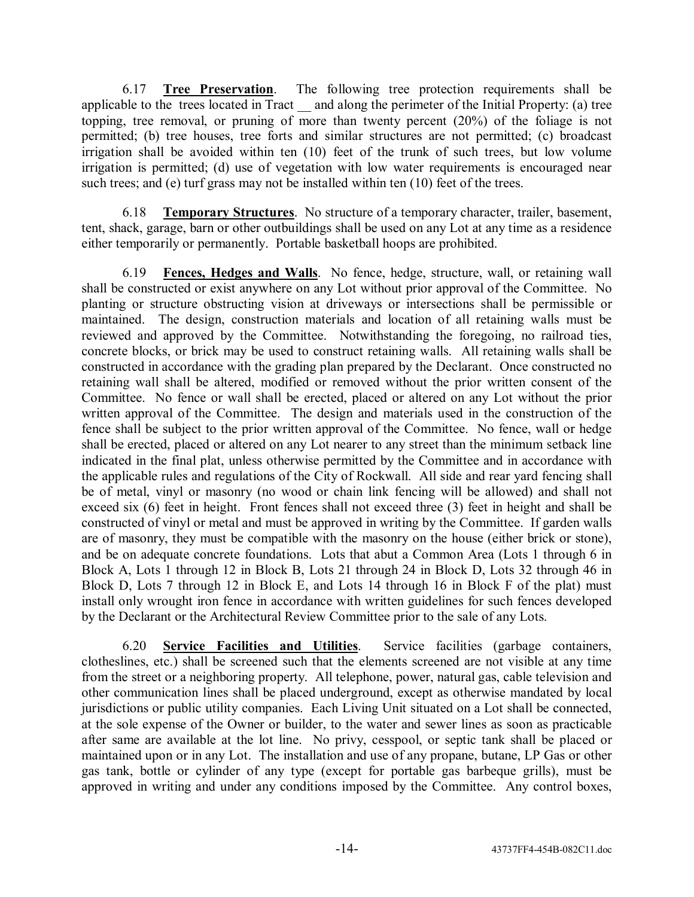6.17 **Tree Preservation**. The following tree protection requirements shall be applicable to the trees located in Tract \_\_ and along the perimeter of the Initial Property: (a) tree topping, tree removal, or pruning of more than twenty percent (20%) of the foliage is not permitted; (b) tree houses, tree forts and similar structures are not permitted; (c) broadcast irrigation shall be avoided within ten (10) feet of the trunk of such trees, but low volume irrigation is permitted; (d) use of vegetation with low water requirements is encouraged near such trees; and (e) turf grass may not be installed within ten (10) feet of the trees.

6.18 **Temporary Structures**. No structure of a temporary character, trailer, basement, tent, shack, garage, barn or other outbuildings shall be used on any Lot at any time as a residence either temporarily or permanently. Portable basketball hoops are prohibited.

6.19 **Fences, Hedges and Walls**. No fence, hedge, structure, wall, or retaining wall shall be constructed or exist anywhere on any Lot without prior approval of the Committee. No planting or structure obstructing vision at driveways or intersections shall be permissible or maintained. The design, construction materials and location of all retaining walls must be reviewed and approved by the Committee. Notwithstanding the foregoing, no railroad ties, concrete blocks, or brick may be used to construct retaining walls. All retaining walls shall be constructed in accordance with the grading plan prepared by the Declarant. Once constructed no retaining wall shall be altered, modified or removed without the prior written consent of the Committee. No fence or wall shall be erected, placed or altered on any Lot without the prior written approval of the Committee. The design and materials used in the construction of the fence shall be subject to the prior written approval of the Committee. No fence, wall or hedge shall be erected, placed or altered on any Lot nearer to any street than the minimum setback line indicated in the final plat, unless otherwise permitted by the Committee and in accordance with the applicable rules and regulations of the City of Rockwall. All side and rear yard fencing shall be of metal, vinyl or masonry (no wood or chain link fencing will be allowed) and shall not exceed six (6) feet in height. Front fences shall not exceed three (3) feet in height and shall be constructed of vinyl or metal and must be approved in writing by the Committee. If garden walls are of masonry, they must be compatible with the masonry on the house (either brick or stone), and be on adequate concrete foundations. Lots that abut a Common Area (Lots 1 through 6 in Block A, Lots 1 through 12 in Block B, Lots 21 through 24 in Block D, Lots 32 through 46 in Block D, Lots 7 through 12 in Block E, and Lots 14 through 16 in Block F of the plat) must install only wrought iron fence in accordance with written guidelines for such fences developed by the Declarant or the Architectural Review Committee prior to the sale of any Lots.

6.20 **Service Facilities and Utilities**. Service facilities (garbage containers, clotheslines, etc.) shall be screened such that the elements screened are not visible at any time from the street or a neighboring property. All telephone, power, natural gas, cable television and other communication lines shall be placed underground, except as otherwise mandated by local jurisdictions or public utility companies. Each Living Unit situated on a Lot shall be connected, at the sole expense of the Owner or builder, to the water and sewer lines as soon as practicable after same are available at the lot line. No privy, cesspool, or septic tank shall be placed or maintained upon or in any Lot. The installation and use of any propane, butane, LP Gas or other gas tank, bottle or cylinder of any type (except for portable gas barbeque grills), must be approved in writing and under any conditions imposed by the Committee. Any control boxes,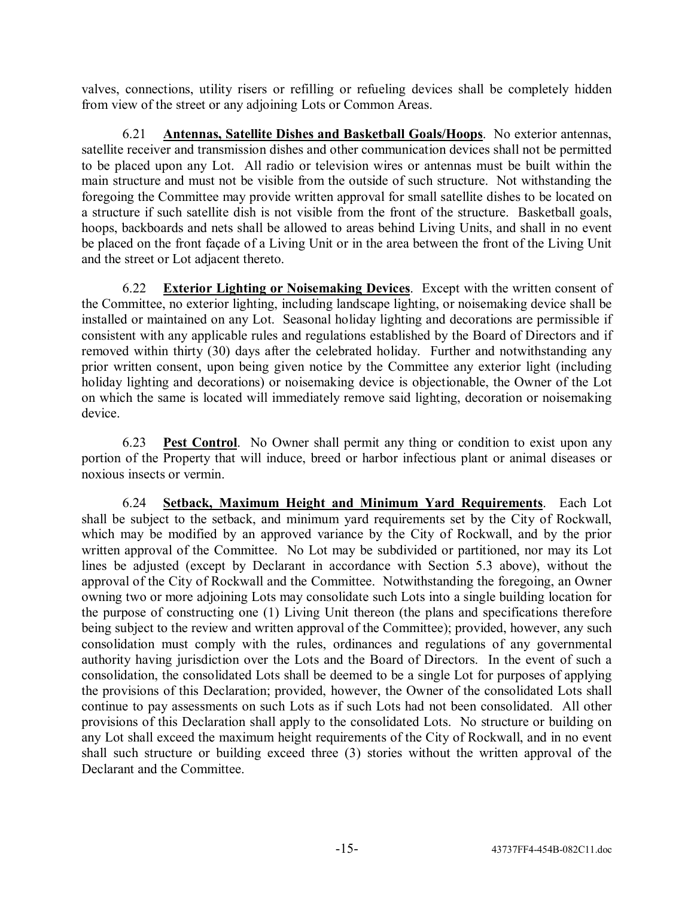valves, connections, utility risers or refilling or refueling devices shall be completely hidden from view of the street or any adjoining Lots or Common Areas.

6.21 **Antennas, Satellite Dishes and Basketball Goals/Hoops**. No exterior antennas, satellite receiver and transmission dishes and other communication devices shall not be permitted to be placed upon any Lot. All radio or television wires or antennas must be built within the main structure and must not be visible from the outside of such structure. Not withstanding the foregoing the Committee may provide written approval for small satellite dishes to be located on a structure if such satellite dish is not visible from the front of the structure. Basketball goals, hoops, backboards and nets shall be allowed to areas behind Living Units, and shall in no event be placed on the front façade of a Living Unit or in the area between the front of the Living Unit and the street or Lot adjacent thereto.

6.22 **Exterior Lighting or Noisemaking Devices**. Except with the written consent of the Committee, no exterior lighting, including landscape lighting, or noisemaking device shall be installed or maintained on any Lot. Seasonal holiday lighting and decorations are permissible if consistent with any applicable rules and regulations established by the Board of Directors and if removed within thirty (30) days after the celebrated holiday. Further and notwithstanding any prior written consent, upon being given notice by the Committee any exterior light (including holiday lighting and decorations) or noisemaking device is objectionable, the Owner of the Lot on which the same is located will immediately remove said lighting, decoration or noisemaking device.

6.23 **Pest Control**. No Owner shall permit any thing or condition to exist upon any portion of the Property that will induce, breed or harbor infectious plant or animal diseases or noxious insects or vermin.

6.24 **Setback, Maximum Height and Minimum Yard Requirements**. Each Lot shall be subject to the setback, and minimum yard requirements set by the City of Rockwall, which may be modified by an approved variance by the City of Rockwall, and by the prior written approval of the Committee. No Lot may be subdivided or partitioned, nor may its Lot lines be adjusted (except by Declarant in accordance with Section 5.3 above), without the approval of the City of Rockwall and the Committee. Notwithstanding the foregoing, an Owner owning two or more adjoining Lots may consolidate such Lots into a single building location for the purpose of constructing one (1) Living Unit thereon (the plans and specifications therefore being subject to the review and written approval of the Committee); provided, however, any such consolidation must comply with the rules, ordinances and regulations of any governmental authority having jurisdiction over the Lots and the Board of Directors. In the event of such a consolidation, the consolidated Lots shall be deemed to be a single Lot for purposes of applying the provisions of this Declaration; provided, however, the Owner of the consolidated Lots shall continue to pay assessments on such Lots as if such Lots had not been consolidated. All other provisions of this Declaration shall apply to the consolidated Lots. No structure or building on any Lot shall exceed the maximum height requirements of the City of Rockwall, and in no event shall such structure or building exceed three (3) stories without the written approval of the Declarant and the Committee.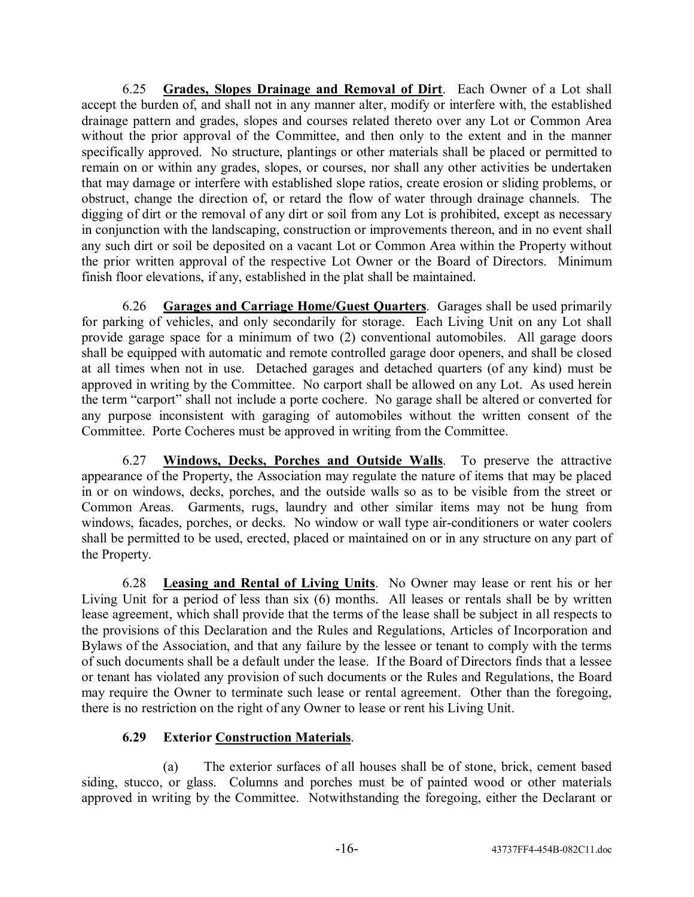6.25 **Grades, Slopes Drainage and Removal of Dirt**. Each Owner of a Lot shall accept the burden of, and shall not in any manner alter, modify or interfere with, the established drainage pattern and grades, slopes and courses related thereto over any Lot or Common Area without the prior approval of the Committee, and then only to the extent and in the manner specifically approved. No structure, plantings or other materials shall be placed or permitted to remain on or within any grades, slopes, or courses, nor shall any other activities be undertaken that may damage or interfere with established slope ratios, create erosion or sliding problems, or obstruct, change the direction of, or retard the flow of water through drainage channels. The digging of dirt or the removal of any dirt or soil from any Lot is prohibited, except as necessary in conjunction with the landscaping, construction or improvements thereon, and in no event shall any such dirt or soil be deposited on a vacant Lot or Common Area within the Property without the prior written approval of the respective Lot Owner or the Board of Directors. Minimum finish floor elevations, if any, established in the plat shall be maintained.

6.26 **Garages and Carriage Home/Guest Quarters**. Garages shall be used primarily for parking of vehicles, and only secondarily for storage. Each Living Unit on any Lot shall provide garage space for a minimum of two (2) conventional automobiles. All garage doors shall be equipped with automatic and remote controlled garage door openers, and shall be closed at all times when not in use. Detached garages and detached quarters (of any kind) must be approved in writing by the Committee. No carport shall be allowed on any Lot. As used herein the term "carport" shall not include a porte cochere. No garage shall be altered or converted for any purpose inconsistent with garaging of automobiles without the written consent of the Committee. Porte Cocheres must be approved in writing from the Committee.

6.27 **Windows, Decks, Porches and Outside Walls**. To preserve the attractive appearance of the Property, the Association may regulate the nature of items that may be placed in or on windows, decks, porches, and the outside walls so as to be visible from the street or Common Areas. Garments, rugs, laundry and other similar items may not be hung from windows, facades, porches, or decks. No window or wall type air-conditioners or water coolers shall be permitted to be used, erected, placed or maintained on or in any structure on any part of the Property.

6.28 **Leasing and Rental of Living Units**. No Owner may lease or rent his or her Living Unit for a period of less than six (6) months. All leases or rentals shall be by written lease agreement, which shall provide that the terms of the lease shall be subject in all respects to the provisions of this Declaration and the Rules and Regulations, Articles of Incorporation and Bylaws of the Association, and that any failure by the lessee or tenant to comply with the terms of such documents shall be a default under the lease. If the Board of Directors finds that a lessee or tenant has violated any provision of such documents or the Rules and Regulations, the Board may require the Owner to terminate such lease or rental agreement. Other than the foregoing, there is no restriction on the right of any Owner to lease or rent his Living Unit.

# **6.29 Exterior Construction Materials**.

(a) The exterior surfaces of all houses shall be of stone, brick, cement based siding, stucco, or glass. Columns and porches must be of painted wood or other materials approved in writing by the Committee. Notwithstanding the foregoing, either the Declarant or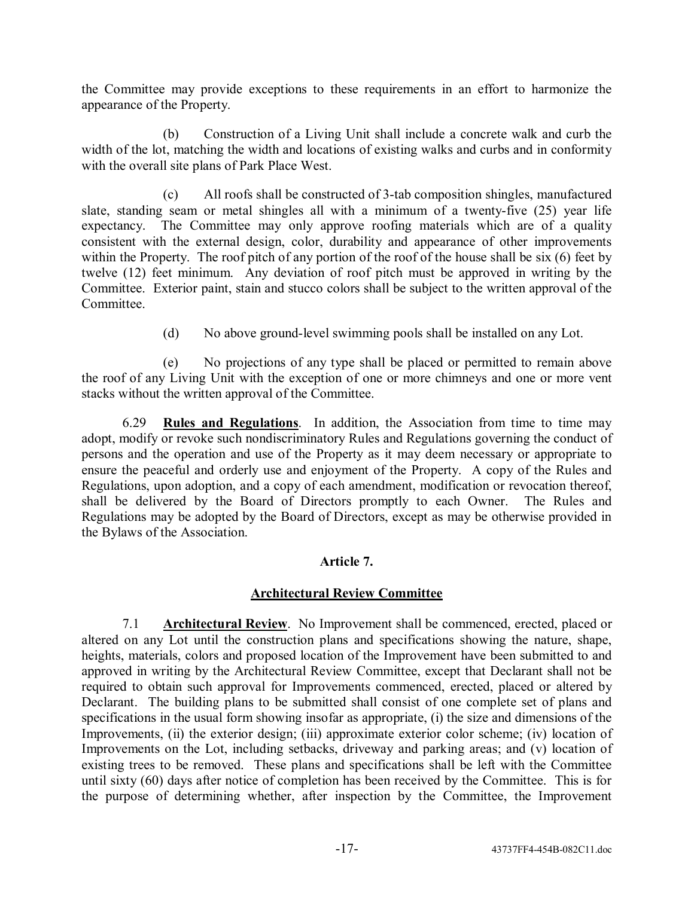the Committee may provide exceptions to these requirements in an effort to harmonize the appearance of the Property.

(b) Construction of a Living Unit shall include a concrete walk and curb the width of the lot, matching the width and locations of existing walks and curbs and in conformity with the overall site plans of Park Place West.

(c) All roofs shall be constructed of 3-tab composition shingles, manufactured slate, standing seam or metal shingles all with a minimum of a twenty-five (25) year life expectancy. The Committee may only approve roofing materials which are of a quality consistent with the external design, color, durability and appearance of other improvements within the Property. The roof pitch of any portion of the roof of the house shall be six (6) feet by twelve (12) feet minimum. Any deviation of roof pitch must be approved in writing by the Committee. Exterior paint, stain and stucco colors shall be subject to the written approval of the Committee.

(d) No above ground-level swimming pools shall be installed on any Lot.

(e) No projections of any type shall be placed or permitted to remain above the roof of any Living Unit with the exception of one or more chimneys and one or more vent stacks without the written approval of the Committee.

6.29 **Rules and Regulations**. In addition, the Association from time to time may adopt, modify or revoke such nondiscriminatory Rules and Regulations governing the conduct of persons and the operation and use of the Property as it may deem necessary or appropriate to ensure the peaceful and orderly use and enjoyment of the Property. A copy of the Rules and Regulations, upon adoption, and a copy of each amendment, modification or revocation thereof, shall be delivered by the Board of Directors promptly to each Owner. The Rules and Regulations may be adopted by the Board of Directors, except as may be otherwise provided in the Bylaws of the Association.

## **Article 7.**

# **Architectural Review Committee**

7.1 **Architectural Review**. No Improvement shall be commenced, erected, placed or altered on any Lot until the construction plans and specifications showing the nature, shape, heights, materials, colors and proposed location of the Improvement have been submitted to and approved in writing by the Architectural Review Committee, except that Declarant shall not be required to obtain such approval for Improvements commenced, erected, placed or altered by Declarant. The building plans to be submitted shall consist of one complete set of plans and specifications in the usual form showing insofar as appropriate, (i) the size and dimensions of the Improvements, (ii) the exterior design; (iii) approximate exterior color scheme; (iv) location of Improvements on the Lot, including setbacks, driveway and parking areas; and (v) location of existing trees to be removed. These plans and specifications shall be left with the Committee until sixty (60) days after notice of completion has been received by the Committee. This is for the purpose of determining whether, after inspection by the Committee, the Improvement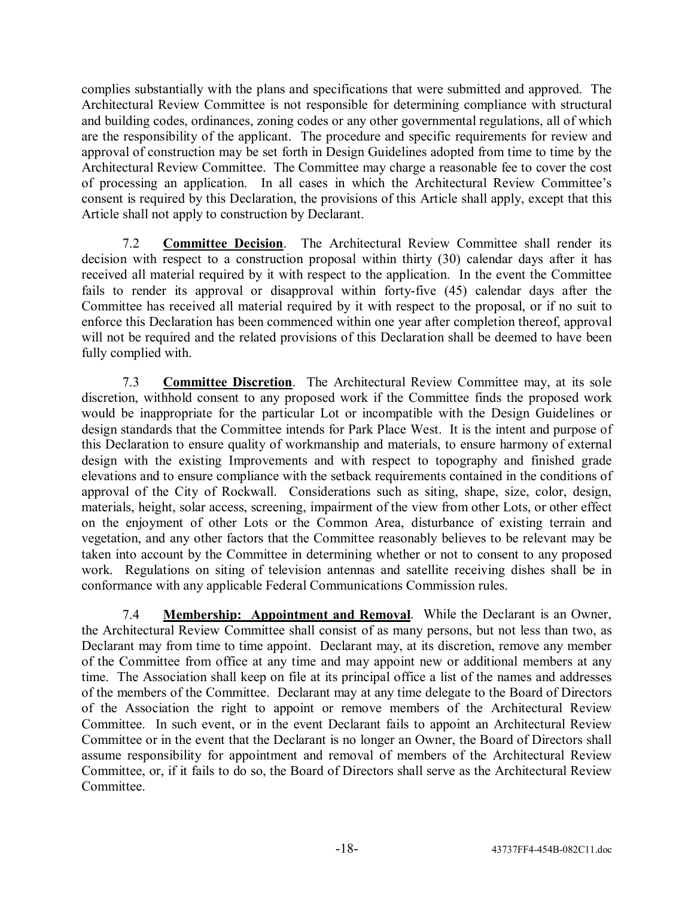complies substantially with the plans and specifications that were submitted and approved. The Architectural Review Committee is not responsible for determining compliance with structural and building codes, ordinances, zoning codes or any other governmental regulations, all of which are the responsibility of the applicant. The procedure and specific requirements for review and approval of construction may be set forth in Design Guidelines adopted from time to time by the Architectural Review Committee. The Committee may charge a reasonable fee to cover the cost of processing an application. In all cases in which the Architectural Review Committee's consent is required by this Declaration, the provisions of this Article shall apply, except that this Article shall not apply to construction by Declarant.

7.2 **Committee Decision**. The Architectural Review Committee shall render its decision with respect to a construction proposal within thirty (30) calendar days after it has received all material required by it with respect to the application. In the event the Committee fails to render its approval or disapproval within forty-five (45) calendar days after the Committee has received all material required by it with respect to the proposal, or if no suit to enforce this Declaration has been commenced within one year after completion thereof, approval will not be required and the related provisions of this Declaration shall be deemed to have been fully complied with.

7.3 **Committee Discretion**. The Architectural Review Committee may, at its sole discretion, withhold consent to any proposed work if the Committee finds the proposed work would be inappropriate for the particular Lot or incompatible with the Design Guidelines or design standards that the Committee intends for Park Place West. It is the intent and purpose of this Declaration to ensure quality of workmanship and materials, to ensure harmony of external design with the existing Improvements and with respect to topography and finished grade elevations and to ensure compliance with the setback requirements contained in the conditions of approval of the City of Rockwall. Considerations such as siting, shape, size, color, design, materials, height, solar access, screening, impairment of the view from other Lots, or other effect on the enjoyment of other Lots or the Common Area, disturbance of existing terrain and vegetation, and any other factors that the Committee reasonably believes to be relevant may be taken into account by the Committee in determining whether or not to consent to any proposed work. Regulations on siting of television antennas and satellite receiving dishes shall be in conformance with any applicable Federal Communications Commission rules.

7.4 **Membership: Appointment and Removal**. While the Declarant is an Owner, the Architectural Review Committee shall consist of as many persons, but not less than two, as Declarant may from time to time appoint. Declarant may, at its discretion, remove any member of the Committee from office at any time and may appoint new or additional members at any time. The Association shall keep on file at its principal office a list of the names and addresses of the members of the Committee. Declarant may at any time delegate to the Board of Directors of the Association the right to appoint or remove members of the Architectural Review Committee. In such event, or in the event Declarant fails to appoint an Architectural Review Committee or in the event that the Declarant is no longer an Owner, the Board of Directors shall assume responsibility for appointment and removal of members of the Architectural Review Committee, or, if it fails to do so, the Board of Directors shall serve as the Architectural Review Committee.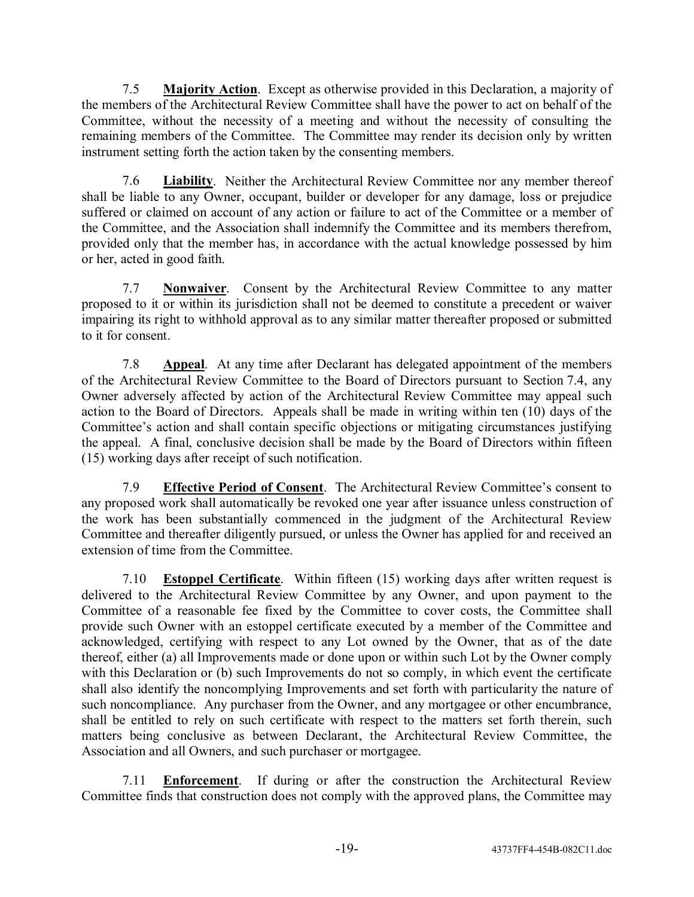7.5 **Majority Action**. Except as otherwise provided in this Declaration, a majority of the members of the Architectural Review Committee shall have the power to act on behalf of the Committee, without the necessity of a meeting and without the necessity of consulting the remaining members of the Committee. The Committee may render its decision only by written instrument setting forth the action taken by the consenting members.

7.6 **Liability**. Neither the Architectural Review Committee nor any member thereof shall be liable to any Owner, occupant, builder or developer for any damage, loss or prejudice suffered or claimed on account of any action or failure to act of the Committee or a member of the Committee, and the Association shall indemnify the Committee and its members therefrom, provided only that the member has, in accordance with the actual knowledge possessed by him or her, acted in good faith.

7.7 **Nonwaiver**. Consent by the Architectural Review Committee to any matter proposed to it or within its jurisdiction shall not be deemed to constitute a precedent or waiver impairing its right to withhold approval as to any similar matter thereafter proposed or submitted to it for consent.

7.8 **Appeal**. At any time after Declarant has delegated appointment of the members of the Architectural Review Committee to the Board of Directors pursuant to Section 7.4, any Owner adversely affected by action of the Architectural Review Committee may appeal such action to the Board of Directors. Appeals shall be made in writing within ten (10) days of the Committee's action and shall contain specific objections or mitigating circumstances justifying the appeal. A final, conclusive decision shall be made by the Board of Directors within fifteen (15) working days after receipt of such notification.

7.9 **Effective Period of Consent**. The Architectural Review Committee's consent to any proposed work shall automatically be revoked one year after issuance unless construction of the work has been substantially commenced in the judgment of the Architectural Review Committee and thereafter diligently pursued, or unless the Owner has applied for and received an extension of time from the Committee.

7.10 **Estoppel Certificate**. Within fifteen (15) working days after written request is delivered to the Architectural Review Committee by any Owner, and upon payment to the Committee of a reasonable fee fixed by the Committee to cover costs, the Committee shall provide such Owner with an estoppel certificate executed by a member of the Committee and acknowledged, certifying with respect to any Lot owned by the Owner, that as of the date thereof, either (a) all Improvements made or done upon or within such Lot by the Owner comply with this Declaration or (b) such Improvements do not so comply, in which event the certificate shall also identify the noncomplying Improvements and set forth with particularity the nature of such noncompliance. Any purchaser from the Owner, and any mortgagee or other encumbrance, shall be entitled to rely on such certificate with respect to the matters set forth therein, such matters being conclusive as between Declarant, the Architectural Review Committee, the Association and all Owners, and such purchaser or mortgagee.

7.11 **Enforcement**. If during or after the construction the Architectural Review Committee finds that construction does not comply with the approved plans, the Committee may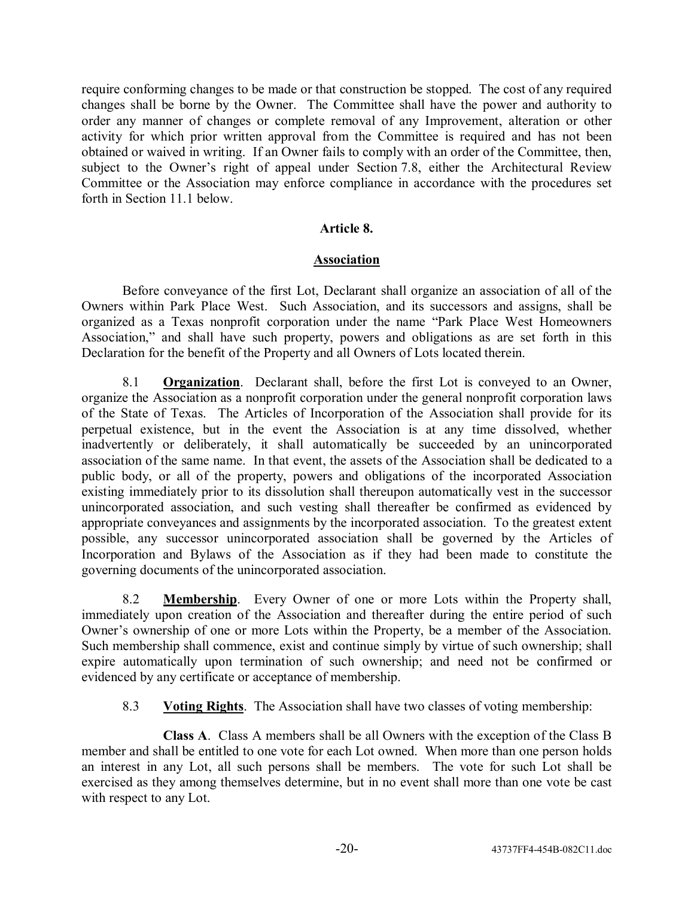require conforming changes to be made or that construction be stopped. The cost of any required changes shall be borne by the Owner. The Committee shall have the power and authority to order any manner of changes or complete removal of any Improvement, alteration or other activity for which prior written approval from the Committee is required and has not been obtained or waived in writing. If an Owner fails to comply with an order of the Committee, then, subject to the Owner's right of appeal under Section 7.8, either the Architectural Review Committee or the Association may enforce compliance in accordance with the procedures set forth in Section 11.1 below.

### **Article 8.**

### **Association**

Before conveyance of the first Lot, Declarant shall organize an association of all of the Owners within Park Place West. Such Association, and its successors and assigns, shall be organized as a Texas nonprofit corporation under the name "Park Place West Homeowners" Association," and shall have such property, powers and obligations as are set forth in this Declaration for the benefit of the Property and all Owners of Lots located therein.

8.1 **Organization**. Declarant shall, before the first Lot is conveyed to an Owner, organize the Association as a nonprofit corporation under the general nonprofit corporation laws of the State of Texas. The Articles of Incorporation of the Association shall provide for its perpetual existence, but in the event the Association is at any time dissolved, whether inadvertently or deliberately, it shall automatically be succeeded by an unincorporated association of the same name. In that event, the assets of the Association shall be dedicated to a public body, or all of the property, powers and obligations of the incorporated Association existing immediately prior to its dissolution shall thereupon automatically vest in the successor unincorporated association, and such vesting shall thereafter be confirmed as evidenced by appropriate conveyances and assignments by the incorporated association. To the greatest extent possible, any successor unincorporated association shall be governed by the Articles of Incorporation and Bylaws of the Association as if they had been made to constitute the governing documents of the unincorporated association.

8.2 **Membership**. Every Owner of one or more Lots within the Property shall, immediately upon creation of the Association and thereafter during the entire period of such Owner's ownership of one or more Lots within the Property, be a member of the Association. Such membership shall commence, exist and continue simply by virtue of such ownership; shall expire automatically upon termination of such ownership; and need not be confirmed or evidenced by any certificate or acceptance of membership.

8.3 **Voting Rights**. The Association shall have two classes of voting membership:

**Class A**. Class A members shall be all Owners with the exception of the Class B member and shall be entitled to one vote for each Lot owned. When more than one person holds an interest in any Lot, all such persons shall be members. The vote for such Lot shall be exercised as they among themselves determine, but in no event shall more than one vote be cast with respect to any Lot.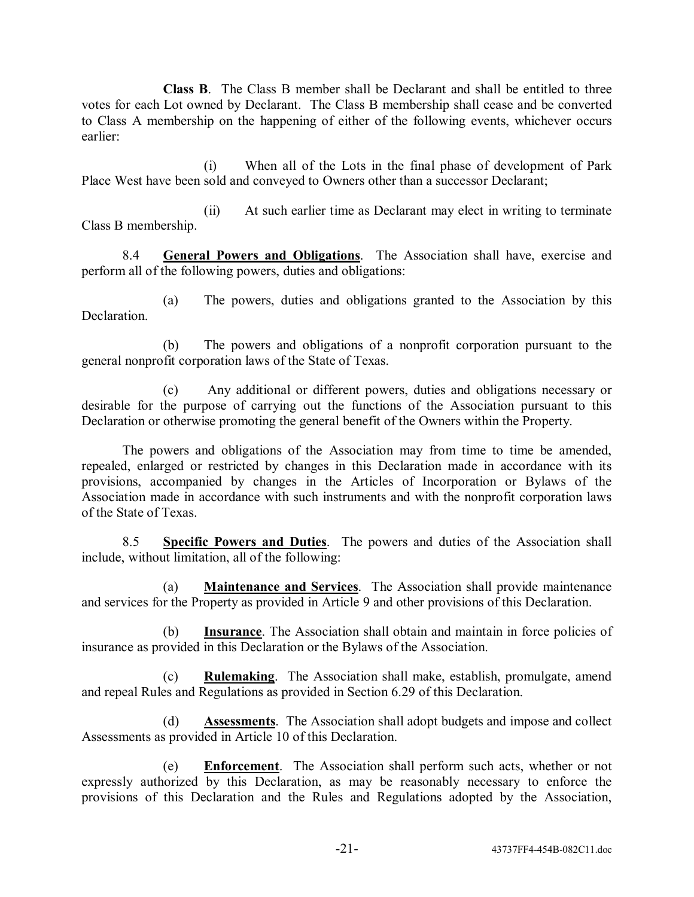**Class B**. The Class B member shall be Declarant and shall be entitled to three votes for each Lot owned by Declarant. The Class B membership shall cease and be converted to Class A membership on the happening of either of the following events, whichever occurs earlier:

(i) When all of the Lots in the final phase of development of Park Place West have been sold and conveyed to Owners other than a successor Declarant;

(ii) At such earlier time as Declarant may elect in writing to terminate Class B membership.

8.4 **General Powers and Obligations**. The Association shall have, exercise and perform all of the following powers, duties and obligations:

(a) The powers, duties and obligations granted to the Association by this Declaration.

(b) The powers and obligations of a nonprofit corporation pursuant to the general nonprofit corporation laws of the State of Texas.

(c) Any additional or different powers, duties and obligations necessary or desirable for the purpose of carrying out the functions of the Association pursuant to this Declaration or otherwise promoting the general benefit of the Owners within the Property.

The powers and obligations of the Association may from time to time be amended, repealed, enlarged or restricted by changes in this Declaration made in accordance with its provisions, accompanied by changes in the Articles of Incorporation or Bylaws of the Association made in accordance with such instruments and with the nonprofit corporation laws of the State of Texas.

8.5 **Specific Powers and Duties**. The powers and duties of the Association shall include, without limitation, all of the following:

(a) **Maintenance and Services**. The Association shall provide maintenance and services for the Property as provided in Article 9 and other provisions of this Declaration.

(b) **Insurance**. The Association shall obtain and maintain in force policies of insurance as provided in this Declaration or the Bylaws of the Association.

(c) **Rulemaking**. The Association shall make, establish, promulgate, amend and repeal Rules and Regulations as provided in Section 6.29 of this Declaration.

(d) **Assessments**. The Association shall adopt budgets and impose and collect Assessments as provided in Article 10 of this Declaration.

(e) **Enforcement**. The Association shall perform such acts, whether or not expressly authorized by this Declaration, as may be reasonably necessary to enforce the provisions of this Declaration and the Rules and Regulations adopted by the Association,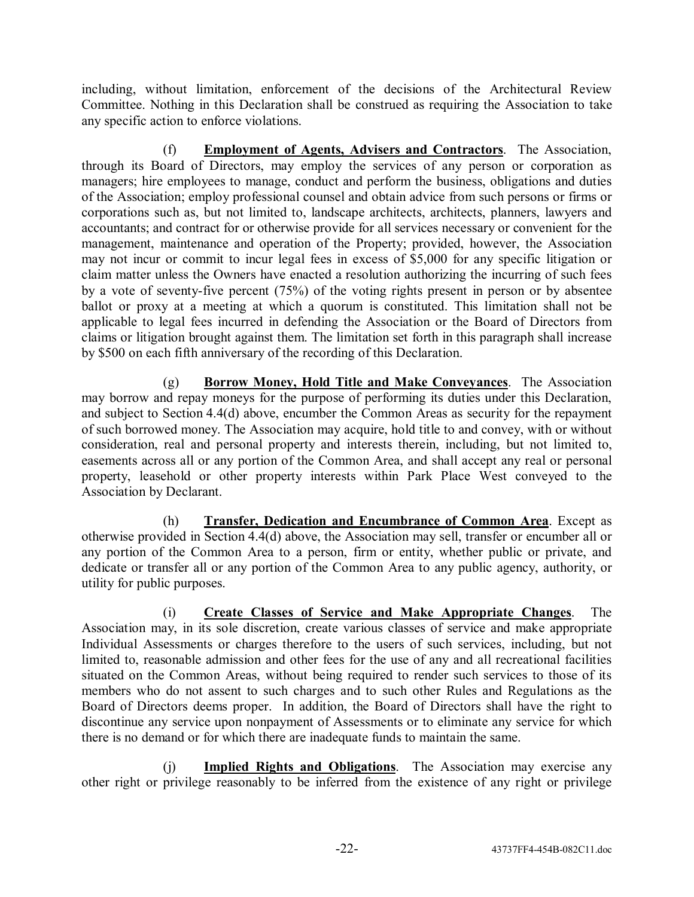including, without limitation, enforcement of the decisions of the Architectural Review Committee. Nothing in this Declaration shall be construed as requiring the Association to take any specific action to enforce violations.

(f) **Employment of Agents, Advisers and Contractors**. The Association, through its Board of Directors, may employ the services of any person or corporation as managers; hire employees to manage, conduct and perform the business, obligations and duties of the Association; employ professional counsel and obtain advice from such persons or firms or corporations such as, but not limited to, landscape architects, architects, planners, lawyers and accountants; and contract for or otherwise provide for all services necessary or convenient for the management, maintenance and operation of the Property; provided, however, the Association may not incur or commit to incur legal fees in excess of \$5,000 for any specific litigation or claim matter unless the Owners have enacted a resolution authorizing the incurring of such fees by a vote of seventy-five percent (75%) of the voting rights present in person or by absentee ballot or proxy at a meeting at which a quorum is constituted. This limitation shall not be applicable to legal fees incurred in defending the Association or the Board of Directors from claims or litigation brought against them. The limitation set forth in this paragraph shall increase by \$500 on each fifth anniversary of the recording of this Declaration.

(g) **Borrow Money, Hold Title and Make Conveyances**. The Association may borrow and repay moneys for the purpose of performing its duties under this Declaration, and subject to Section 4.4(d) above, encumber the Common Areas as security for the repayment of such borrowed money. The Association may acquire, hold title to and convey, with or without consideration, real and personal property and interests therein, including, but not limited to, easements across all or any portion of the Common Area, and shall accept any real or personal property, leasehold or other property interests within Park Place West conveyed to the Association by Declarant.

(h) **Transfer, Dedication and Encumbrance of Common Area**. Except as otherwise provided in Section 4.4(d) above, the Association may sell, transfer or encumber all or any portion of the Common Area to a person, firm or entity, whether public or private, and dedicate or transfer all or any portion of the Common Area to any public agency, authority, or utility for public purposes.

(i) **Create Classes of Service and Make Appropriate Changes**. The Association may, in its sole discretion, create various classes of service and make appropriate Individual Assessments or charges therefore to the users of such services, including, but not limited to, reasonable admission and other fees for the use of any and all recreational facilities situated on the Common Areas, without being required to render such services to those of its members who do not assent to such charges and to such other Rules and Regulations as the Board of Directors deems proper. In addition, the Board of Directors shall have the right to discontinue any service upon nonpayment of Assessments or to eliminate any service for which there is no demand or for which there are inadequate funds to maintain the same.

(j) **Implied Rights and Obligations**. The Association may exercise any other right or privilege reasonably to be inferred from the existence of any right or privilege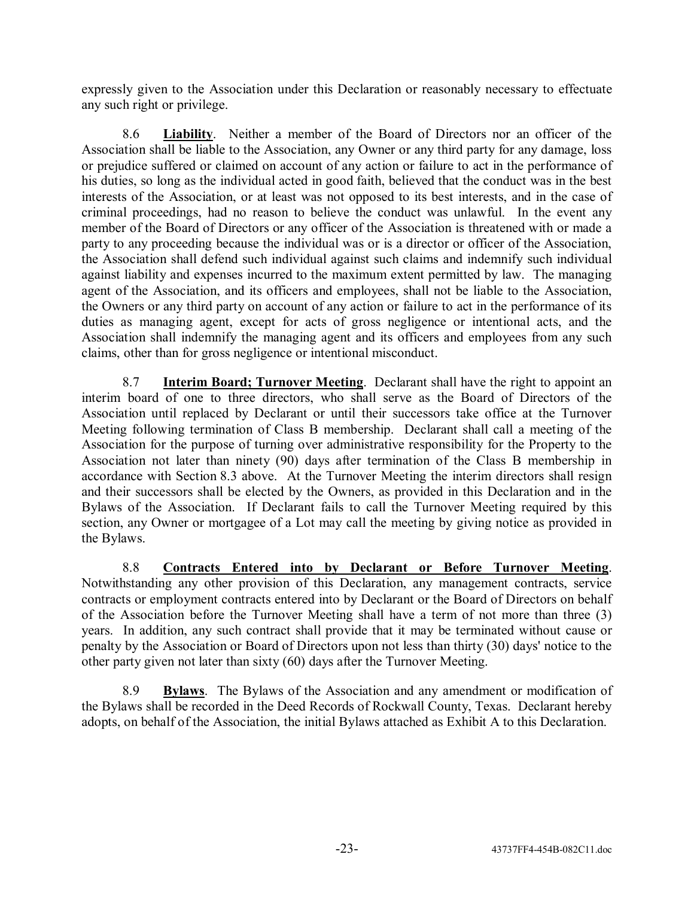expressly given to the Association under this Declaration or reasonably necessary to effectuate any such right or privilege.

8.6 **Liability**. Neither a member of the Board of Directors nor an officer of the Association shall be liable to the Association, any Owner or any third party for any damage, loss or prejudice suffered or claimed on account of any action or failure to act in the performance of his duties, so long as the individual acted in good faith, believed that the conduct was in the best interests of the Association, or at least was not opposed to its best interests, and in the case of criminal proceedings, had no reason to believe the conduct was unlawful. In the event any member of the Board of Directors or any officer of the Association is threatened with or made a party to any proceeding because the individual was or is a director or officer of the Association, the Association shall defend such individual against such claims and indemnify such individual against liability and expenses incurred to the maximum extent permitted by law. The managing agent of the Association, and its officers and employees, shall not be liable to the Association, the Owners or any third party on account of any action or failure to act in the performance of its duties as managing agent, except for acts of gross negligence or intentional acts, and the Association shall indemnify the managing agent and its officers and employees from any such claims, other than for gross negligence or intentional misconduct.

8.7 **Interim Board; Turnover Meeting**. Declarant shall have the right to appoint an interim board of one to three directors, who shall serve as the Board of Directors of the Association until replaced by Declarant or until their successors take office at the Turnover Meeting following termination of Class B membership. Declarant shall call a meeting of the Association for the purpose of turning over administrative responsibility for the Property to the Association not later than ninety (90) days after termination of the Class B membership in accordance with Section 8.3 above. At the Turnover Meeting the interim directors shall resign and their successors shall be elected by the Owners, as provided in this Declaration and in the Bylaws of the Association. If Declarant fails to call the Turnover Meeting required by this section, any Owner or mortgagee of a Lot may call the meeting by giving notice as provided in the Bylaws.

8.8 **Contracts Entered into by Declarant or Before Turnover Meeting**. Notwithstanding any other provision of this Declaration, any management contracts, service contracts or employment contracts entered into by Declarant or the Board of Directors on behalf of the Association before the Turnover Meeting shall have a term of not more than three (3) years. In addition, any such contract shall provide that it may be terminated without cause or penalty by the Association or Board of Directors upon not less than thirty (30) days' notice to the other party given not later than sixty (60) days after the Turnover Meeting.

8.9 **Bylaws**. The Bylaws of the Association and any amendment or modification of the Bylaws shall be recorded in the Deed Records of Rockwall County, Texas. Declarant hereby adopts, on behalf of the Association, the initial Bylaws attached as Exhibit A to this Declaration.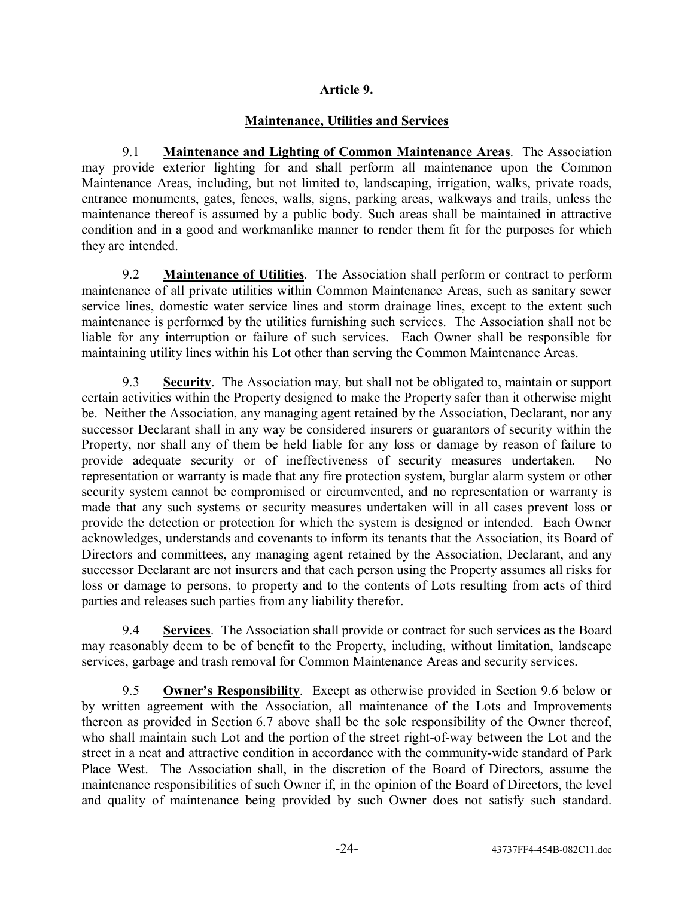## **Article 9.**

# **Maintenance, Utilities and Services**

9.1 **Maintenance and Lighting of Common Maintenance Areas**. The Association may provide exterior lighting for and shall perform all maintenance upon the Common Maintenance Areas, including, but not limited to, landscaping, irrigation, walks, private roads, entrance monuments, gates, fences, walls, signs, parking areas, walkways and trails, unless the maintenance thereof is assumed by a public body. Such areas shall be maintained in attractive condition and in a good and workmanlike manner to render them fit for the purposes for which they are intended.

9.2 **Maintenance of Utilities**. The Association shall perform or contract to perform maintenance of all private utilities within Common Maintenance Areas, such as sanitary sewer service lines, domestic water service lines and storm drainage lines, except to the extent such maintenance is performed by the utilities furnishing such services. The Association shall not be liable for any interruption or failure of such services. Each Owner shall be responsible for maintaining utility lines within his Lot other than serving the Common Maintenance Areas.

9.3 **Security**. The Association may, but shall not be obligated to, maintain or support certain activities within the Property designed to make the Property safer than it otherwise might be. Neither the Association, any managing agent retained by the Association, Declarant, nor any successor Declarant shall in any way be considered insurers or guarantors of security within the Property, nor shall any of them be held liable for any loss or damage by reason of failure to provide adequate security or of ineffectiveness of security measures undertaken. No representation or warranty is made that any fire protection system, burglar alarm system or other security system cannot be compromised or circumvented, and no representation or warranty is made that any such systems or security measures undertaken will in all cases prevent loss or provide the detection or protection for which the system is designed or intended. Each Owner acknowledges, understands and covenants to inform its tenants that the Association, its Board of Directors and committees, any managing agent retained by the Association, Declarant, and any successor Declarant are not insurers and that each person using the Property assumes all risks for loss or damage to persons, to property and to the contents of Lots resulting from acts of third parties and releases such parties from any liability therefor.

9.4 **Services**. The Association shall provide or contract for such services as the Board may reasonably deem to be of benefit to the Property, including, without limitation, landscape services, garbage and trash removal for Common Maintenance Areas and security services.

9.5 **Ownerís Responsibility**. Except as otherwise provided in Section 9.6 below or by written agreement with the Association, all maintenance of the Lots and Improvements thereon as provided in Section 6.7 above shall be the sole responsibility of the Owner thereof, who shall maintain such Lot and the portion of the street right-of-way between the Lot and the street in a neat and attractive condition in accordance with the community-wide standard of Park Place West. The Association shall, in the discretion of the Board of Directors, assume the maintenance responsibilities of such Owner if, in the opinion of the Board of Directors, the level and quality of maintenance being provided by such Owner does not satisfy such standard.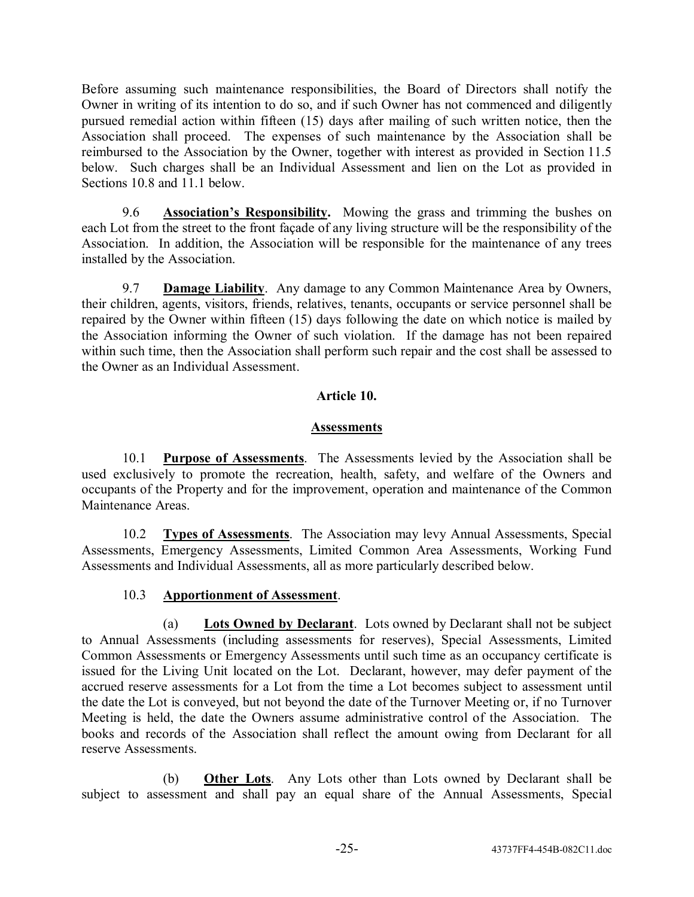Before assuming such maintenance responsibilities, the Board of Directors shall notify the Owner in writing of its intention to do so, and if such Owner has not commenced and diligently pursued remedial action within fifteen (15) days after mailing of such written notice, then the Association shall proceed. The expenses of such maintenance by the Association shall be reimbursed to the Association by the Owner, together with interest as provided in Section 11.5 below. Such charges shall be an Individual Assessment and lien on the Lot as provided in Sections 10.8 and 11.1 below.

9.6 **Association's Responsibility.** Mowing the grass and trimming the bushes on each Lot from the street to the front façade of any living structure will be the responsibility of the Association. In addition, the Association will be responsible for the maintenance of any trees installed by the Association.

9.7 **Damage Liability**. Any damage to any Common Maintenance Area by Owners, their children, agents, visitors, friends, relatives, tenants, occupants or service personnel shall be repaired by the Owner within fifteen (15) days following the date on which notice is mailed by the Association informing the Owner of such violation. If the damage has not been repaired within such time, then the Association shall perform such repair and the cost shall be assessed to the Owner as an Individual Assessment.

## **Article 10.**

## **Assessments**

10.1 **Purpose of Assessments**. The Assessments levied by the Association shall be used exclusively to promote the recreation, health, safety, and welfare of the Owners and occupants of the Property and for the improvement, operation and maintenance of the Common Maintenance Areas.

10.2 **Types of Assessments**. The Association may levy Annual Assessments, Special Assessments, Emergency Assessments, Limited Common Area Assessments, Working Fund Assessments and Individual Assessments, all as more particularly described below.

## 10.3 **Apportionment of Assessment**.

(a) **Lots Owned by Declarant**. Lots owned by Declarant shall not be subject to Annual Assessments (including assessments for reserves), Special Assessments, Limited Common Assessments or Emergency Assessments until such time as an occupancy certificate is issued for the Living Unit located on the Lot. Declarant, however, may defer payment of the accrued reserve assessments for a Lot from the time a Lot becomes subject to assessment until the date the Lot is conveyed, but not beyond the date of the Turnover Meeting or, if no Turnover Meeting is held, the date the Owners assume administrative control of the Association. The books and records of the Association shall reflect the amount owing from Declarant for all reserve Assessments.

(b) **Other Lots**. Any Lots other than Lots owned by Declarant shall be subject to assessment and shall pay an equal share of the Annual Assessments, Special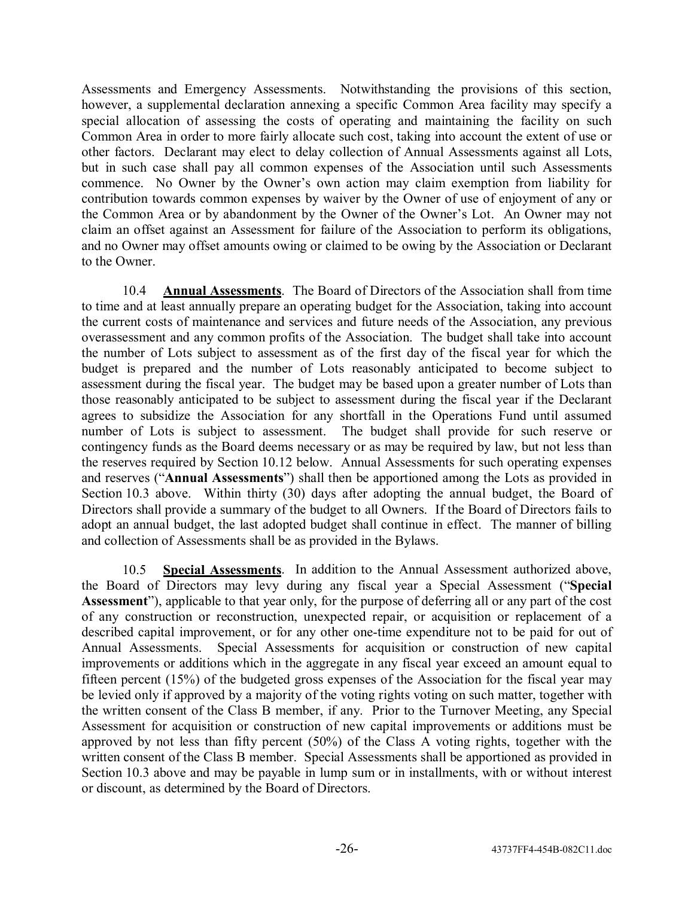Assessments and Emergency Assessments. Notwithstanding the provisions of this section, however, a supplemental declaration annexing a specific Common Area facility may specify a special allocation of assessing the costs of operating and maintaining the facility on such Common Area in order to more fairly allocate such cost, taking into account the extent of use or other factors. Declarant may elect to delay collection of Annual Assessments against all Lots, but in such case shall pay all common expenses of the Association until such Assessments commence. No Owner by the Owner's own action may claim exemption from liability for contribution towards common expenses by waiver by the Owner of use of enjoyment of any or the Common Area or by abandonment by the Owner of the Owner's Lot. An Owner may not claim an offset against an Assessment for failure of the Association to perform its obligations, and no Owner may offset amounts owing or claimed to be owing by the Association or Declarant to the Owner.

10.4 **Annual Assessments**. The Board of Directors of the Association shall from time to time and at least annually prepare an operating budget for the Association, taking into account the current costs of maintenance and services and future needs of the Association, any previous overassessment and any common profits of the Association. The budget shall take into account the number of Lots subject to assessment as of the first day of the fiscal year for which the budget is prepared and the number of Lots reasonably anticipated to become subject to assessment during the fiscal year. The budget may be based upon a greater number of Lots than those reasonably anticipated to be subject to assessment during the fiscal year if the Declarant agrees to subsidize the Association for any shortfall in the Operations Fund until assumed number of Lots is subject to assessment. The budget shall provide for such reserve or contingency funds as the Board deems necessary or as may be required by law, but not less than the reserves required by Section 10.12 below. Annual Assessments for such operating expenses and reserves ("Annual Assessments") shall then be apportioned among the Lots as provided in Section 10.3 above. Within thirty (30) days after adopting the annual budget, the Board of Directors shall provide a summary of the budget to all Owners. If the Board of Directors fails to adopt an annual budget, the last adopted budget shall continue in effect. The manner of billing and collection of Assessments shall be as provided in the Bylaws.

10.5 **Special Assessments**. In addition to the Annual Assessment authorized above, the Board of Directors may levy during any fiscal year a Special Assessment ("Special **Assessment**î), applicable to that year only, for the purpose of deferring all or any part of the cost of any construction or reconstruction, unexpected repair, or acquisition or replacement of a described capital improvement, or for any other one-time expenditure not to be paid for out of Annual Assessments. Special Assessments for acquisition or construction of new capital improvements or additions which in the aggregate in any fiscal year exceed an amount equal to fifteen percent (15%) of the budgeted gross expenses of the Association for the fiscal year may be levied only if approved by a majority of the voting rights voting on such matter, together with the written consent of the Class B member, if any. Prior to the Turnover Meeting, any Special Assessment for acquisition or construction of new capital improvements or additions must be approved by not less than fifty percent (50%) of the Class A voting rights, together with the written consent of the Class B member. Special Assessments shall be apportioned as provided in Section 10.3 above and may be payable in lump sum or in installments, with or without interest or discount, as determined by the Board of Directors.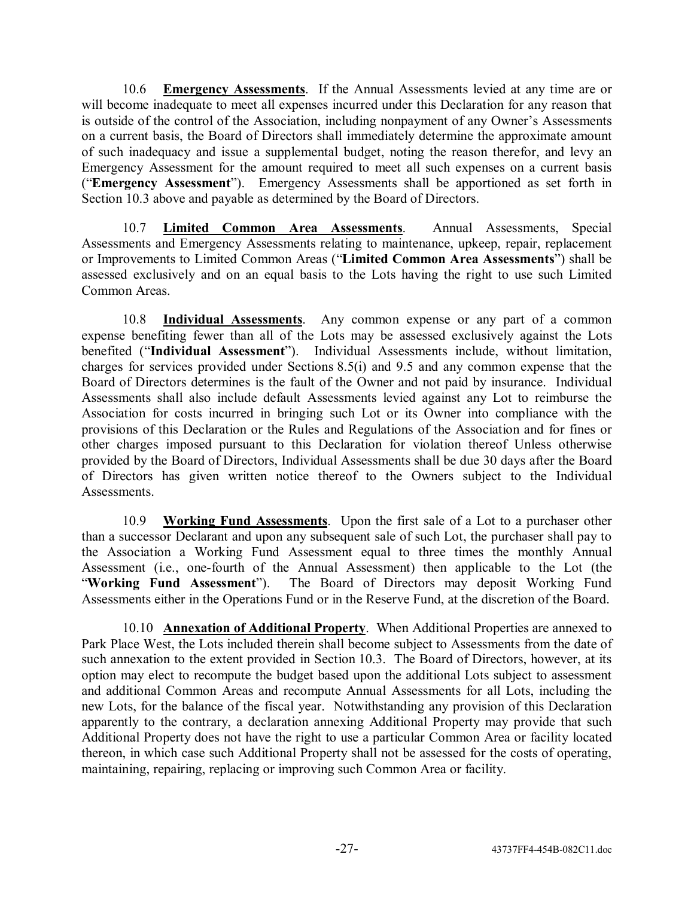10.6 **Emergency Assessments**. If the Annual Assessments levied at any time are or will become inadequate to meet all expenses incurred under this Declaration for any reason that is outside of the control of the Association, including nonpayment of any Owner's Assessments on a current basis, the Board of Directors shall immediately determine the approximate amount of such inadequacy and issue a supplemental budget, noting the reason therefor, and levy an Emergency Assessment for the amount required to meet all such expenses on a current basis ("**Emergency Assessment**"). Emergency Assessments shall be apportioned as set forth in Section 10.3 above and payable as determined by the Board of Directors.

10.7 **Limited Common Area Assessments**. Annual Assessments, Special Assessments and Emergency Assessments relating to maintenance, upkeep, repair, replacement or Improvements to Limited Common Areas (ì**Limited Common Area Assessments**î) shall be assessed exclusively and on an equal basis to the Lots having the right to use such Limited Common Areas.

10.8 **Individual Assessments**. Any common expense or any part of a common expense benefiting fewer than all of the Lots may be assessed exclusively against the Lots benefited ("Individual Assessment"). Individual Assessments include, without limitation, charges for services provided under Sections 8.5(i) and 9.5 and any common expense that the Board of Directors determines is the fault of the Owner and not paid by insurance. Individual Assessments shall also include default Assessments levied against any Lot to reimburse the Association for costs incurred in bringing such Lot or its Owner into compliance with the provisions of this Declaration or the Rules and Regulations of the Association and for fines or other charges imposed pursuant to this Declaration for violation thereof Unless otherwise provided by the Board of Directors, Individual Assessments shall be due 30 days after the Board of Directors has given written notice thereof to the Owners subject to the Individual **Assessments** 

10.9 **Working Fund Assessments**. Upon the first sale of a Lot to a purchaser other than a successor Declarant and upon any subsequent sale of such Lot, the purchaser shall pay to the Association a Working Fund Assessment equal to three times the monthly Annual Assessment (i.e., one-fourth of the Annual Assessment) then applicable to the Lot (the ì**Working Fund Assessment**î). The Board of Directors may deposit Working Fund Assessments either in the Operations Fund or in the Reserve Fund, at the discretion of the Board.

10.10 **Annexation of Additional Property**. When Additional Properties are annexed to Park Place West, the Lots included therein shall become subject to Assessments from the date of such annexation to the extent provided in Section 10.3. The Board of Directors, however, at its option may elect to recompute the budget based upon the additional Lots subject to assessment and additional Common Areas and recompute Annual Assessments for all Lots, including the new Lots, for the balance of the fiscal year. Notwithstanding any provision of this Declaration apparently to the contrary, a declaration annexing Additional Property may provide that such Additional Property does not have the right to use a particular Common Area or facility located thereon, in which case such Additional Property shall not be assessed for the costs of operating, maintaining, repairing, replacing or improving such Common Area or facility.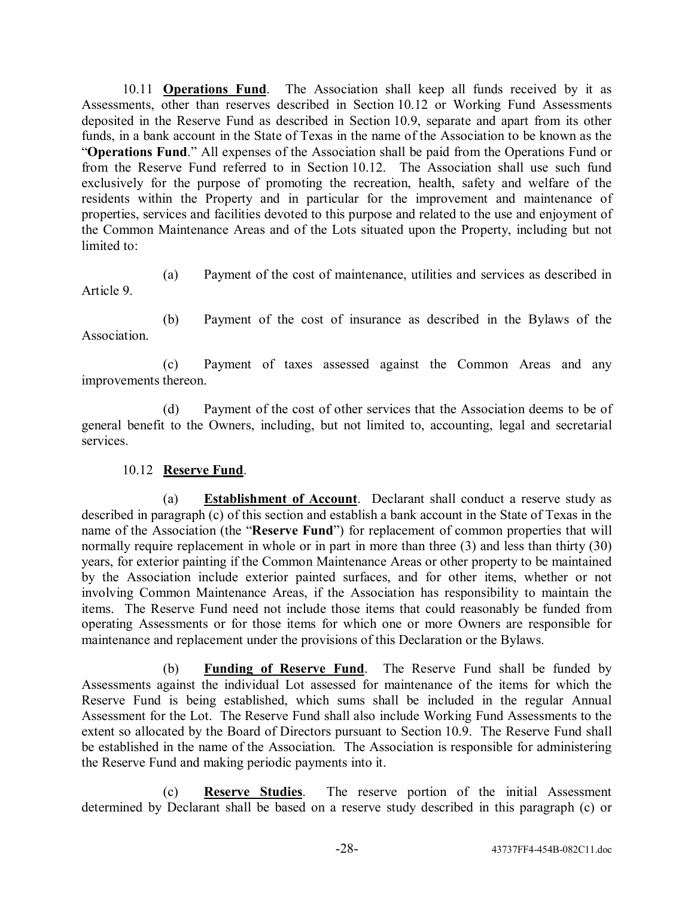10.11 **Operations Fund**. The Association shall keep all funds received by it as Assessments, other than reserves described in Section 10.12 or Working Fund Assessments deposited in the Reserve Fund as described in Section 10.9, separate and apart from its other funds, in a bank account in the State of Texas in the name of the Association to be known as the ì**Operations Fund**.î All expenses of the Association shall be paid from the Operations Fund or from the Reserve Fund referred to in Section 10.12. The Association shall use such fund exclusively for the purpose of promoting the recreation, health, safety and welfare of the residents within the Property and in particular for the improvement and maintenance of properties, services and facilities devoted to this purpose and related to the use and enjoyment of the Common Maintenance Areas and of the Lots situated upon the Property, including but not limited to:

(a) Payment of the cost of maintenance, utilities and services as described in Article 9.

**Association** 

(b) Payment of the cost of insurance as described in the Bylaws of the

(c) Payment of taxes assessed against the Common Areas and any improvements thereon.

(d) Payment of the cost of other services that the Association deems to be of general benefit to the Owners, including, but not limited to, accounting, legal and secretarial services.

# 10.12 **Reserve Fund**.

(a) **Establishment of Account**. Declarant shall conduct a reserve study as described in paragraph (c) of this section and establish a bank account in the State of Texas in the name of the Association (the "Reserve Fund") for replacement of common properties that will normally require replacement in whole or in part in more than three (3) and less than thirty (30) years, for exterior painting if the Common Maintenance Areas or other property to be maintained by the Association include exterior painted surfaces, and for other items, whether or not involving Common Maintenance Areas, if the Association has responsibility to maintain the items. The Reserve Fund need not include those items that could reasonably be funded from operating Assessments or for those items for which one or more Owners are responsible for maintenance and replacement under the provisions of this Declaration or the Bylaws.

(b) **Funding of Reserve Fund**. The Reserve Fund shall be funded by Assessments against the individual Lot assessed for maintenance of the items for which the Reserve Fund is being established, which sums shall be included in the regular Annual Assessment for the Lot. The Reserve Fund shall also include Working Fund Assessments to the extent so allocated by the Board of Directors pursuant to Section 10.9. The Reserve Fund shall be established in the name of the Association. The Association is responsible for administering the Reserve Fund and making periodic payments into it.

(c) **Reserve Studies**. The reserve portion of the initial Assessment determined by Declarant shall be based on a reserve study described in this paragraph (c) or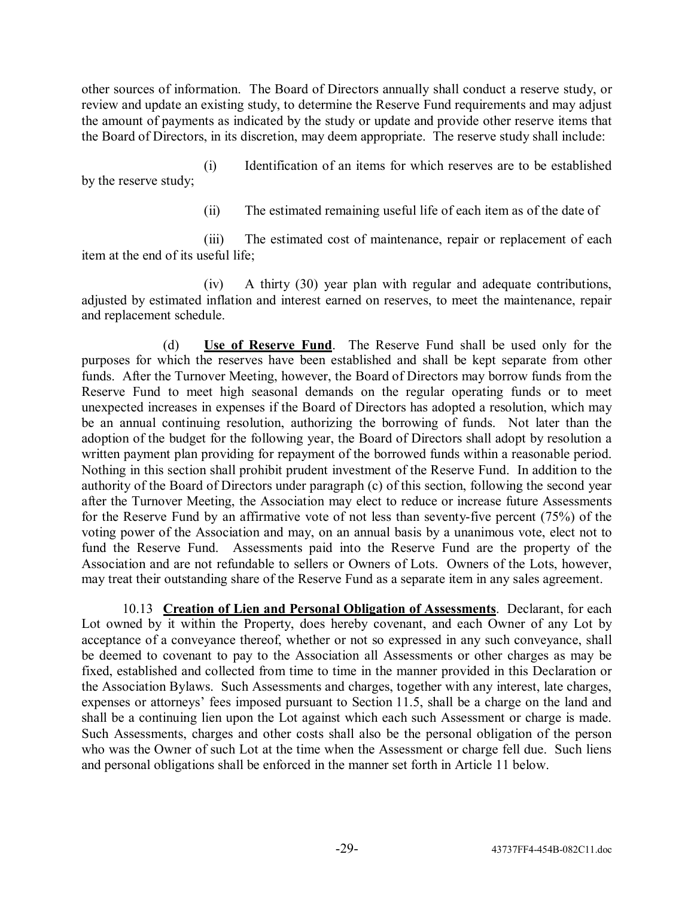other sources of information. The Board of Directors annually shall conduct a reserve study, or review and update an existing study, to determine the Reserve Fund requirements and may adjust the amount of payments as indicated by the study or update and provide other reserve items that the Board of Directors, in its discretion, may deem appropriate. The reserve study shall include:

(i) Identification of an items for which reserves are to be established by the reserve study;

(ii) The estimated remaining useful life of each item as of the date of

(iii) The estimated cost of maintenance, repair or replacement of each item at the end of its useful life;

(iv) A thirty (30) year plan with regular and adequate contributions, adjusted by estimated inflation and interest earned on reserves, to meet the maintenance, repair and replacement schedule.

(d) **Use of Reserve Fund**. The Reserve Fund shall be used only for the purposes for which the reserves have been established and shall be kept separate from other funds. After the Turnover Meeting, however, the Board of Directors may borrow funds from the Reserve Fund to meet high seasonal demands on the regular operating funds or to meet unexpected increases in expenses if the Board of Directors has adopted a resolution, which may be an annual continuing resolution, authorizing the borrowing of funds. Not later than the adoption of the budget for the following year, the Board of Directors shall adopt by resolution a written payment plan providing for repayment of the borrowed funds within a reasonable period. Nothing in this section shall prohibit prudent investment of the Reserve Fund. In addition to the authority of the Board of Directors under paragraph (c) of this section, following the second year after the Turnover Meeting, the Association may elect to reduce or increase future Assessments for the Reserve Fund by an affirmative vote of not less than seventy-five percent (75%) of the voting power of the Association and may, on an annual basis by a unanimous vote, elect not to fund the Reserve Fund. Assessments paid into the Reserve Fund are the property of the Association and are not refundable to sellers or Owners of Lots. Owners of the Lots, however, may treat their outstanding share of the Reserve Fund as a separate item in any sales agreement.

10.13 **Creation of Lien and Personal Obligation of Assessments**. Declarant, for each Lot owned by it within the Property, does hereby covenant, and each Owner of any Lot by acceptance of a conveyance thereof, whether or not so expressed in any such conveyance, shall be deemed to covenant to pay to the Association all Assessments or other charges as may be fixed, established and collected from time to time in the manner provided in this Declaration or the Association Bylaws. Such Assessments and charges, together with any interest, late charges, expenses or attorneys' fees imposed pursuant to Section 11.5, shall be a charge on the land and shall be a continuing lien upon the Lot against which each such Assessment or charge is made. Such Assessments, charges and other costs shall also be the personal obligation of the person who was the Owner of such Lot at the time when the Assessment or charge fell due. Such liens and personal obligations shall be enforced in the manner set forth in Article 11 below.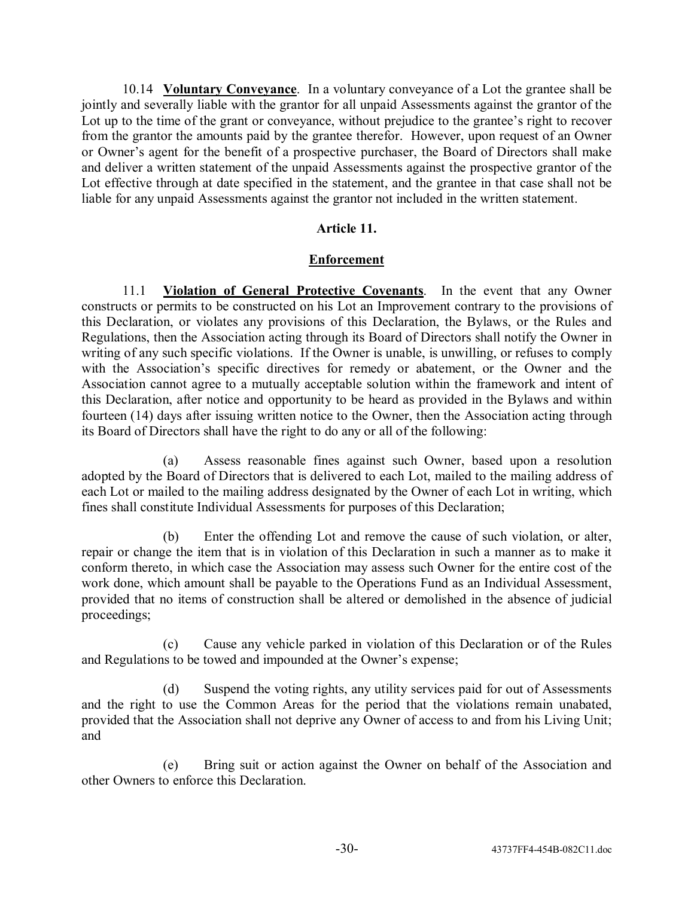10.14 **Voluntary Conveyance**. In a voluntary conveyance of a Lot the grantee shall be jointly and severally liable with the grantor for all unpaid Assessments against the grantor of the Lot up to the time of the grant or conveyance, without prejudice to the grantee's right to recover from the grantor the amounts paid by the grantee therefor. However, upon request of an Owner or Owner's agent for the benefit of a prospective purchaser, the Board of Directors shall make and deliver a written statement of the unpaid Assessments against the prospective grantor of the Lot effective through at date specified in the statement, and the grantee in that case shall not be liable for any unpaid Assessments against the grantor not included in the written statement.

### **Article 11.**

### **Enforcement**

11.1 **Violation of General Protective Covenants**. In the event that any Owner constructs or permits to be constructed on his Lot an Improvement contrary to the provisions of this Declaration, or violates any provisions of this Declaration, the Bylaws, or the Rules and Regulations, then the Association acting through its Board of Directors shall notify the Owner in writing of any such specific violations. If the Owner is unable, is unwilling, or refuses to comply with the Association's specific directives for remedy or abatement, or the Owner and the Association cannot agree to a mutually acceptable solution within the framework and intent of this Declaration, after notice and opportunity to be heard as provided in the Bylaws and within fourteen (14) days after issuing written notice to the Owner, then the Association acting through its Board of Directors shall have the right to do any or all of the following:

(a) Assess reasonable fines against such Owner, based upon a resolution adopted by the Board of Directors that is delivered to each Lot, mailed to the mailing address of each Lot or mailed to the mailing address designated by the Owner of each Lot in writing, which fines shall constitute Individual Assessments for purposes of this Declaration;

(b) Enter the offending Lot and remove the cause of such violation, or alter, repair or change the item that is in violation of this Declaration in such a manner as to make it conform thereto, in which case the Association may assess such Owner for the entire cost of the work done, which amount shall be payable to the Operations Fund as an Individual Assessment, provided that no items of construction shall be altered or demolished in the absence of judicial proceedings;

(c) Cause any vehicle parked in violation of this Declaration or of the Rules and Regulations to be towed and impounded at the Owner's expense;

(d) Suspend the voting rights, any utility services paid for out of Assessments and the right to use the Common Areas for the period that the violations remain unabated, provided that the Association shall not deprive any Owner of access to and from his Living Unit; and

(e) Bring suit or action against the Owner on behalf of the Association and other Owners to enforce this Declaration.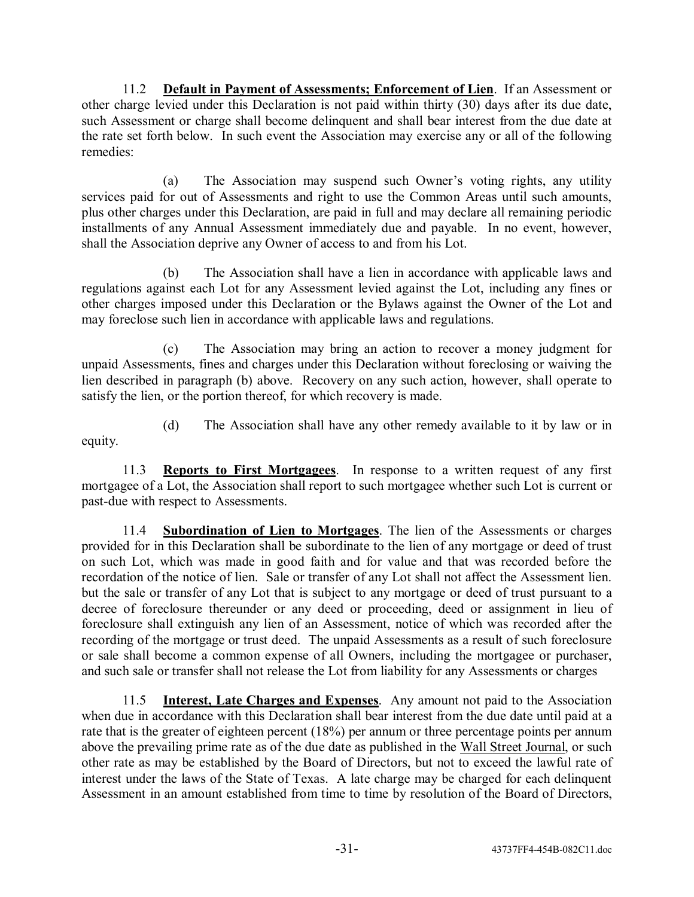11.2 **Default in Payment of Assessments; Enforcement of Lien**. If an Assessment or other charge levied under this Declaration is not paid within thirty (30) days after its due date, such Assessment or charge shall become delinquent and shall bear interest from the due date at the rate set forth below. In such event the Association may exercise any or all of the following remedies:

(a) The Association may suspend such Owner's voting rights, any utility services paid for out of Assessments and right to use the Common Areas until such amounts, plus other charges under this Declaration, are paid in full and may declare all remaining periodic installments of any Annual Assessment immediately due and payable. In no event, however, shall the Association deprive any Owner of access to and from his Lot.

(b) The Association shall have a lien in accordance with applicable laws and regulations against each Lot for any Assessment levied against the Lot, including any fines or other charges imposed under this Declaration or the Bylaws against the Owner of the Lot and may foreclose such lien in accordance with applicable laws and regulations.

(c) The Association may bring an action to recover a money judgment for unpaid Assessments, fines and charges under this Declaration without foreclosing or waiving the lien described in paragraph (b) above. Recovery on any such action, however, shall operate to satisfy the lien, or the portion thereof, for which recovery is made.

(d) The Association shall have any other remedy available to it by law or in equity.

11.3 **Reports to First Mortgagees**. In response to a written request of any first mortgagee of a Lot, the Association shall report to such mortgagee whether such Lot is current or past-due with respect to Assessments.

11.4 **Subordination of Lien to Mortgages**. The lien of the Assessments or charges provided for in this Declaration shall be subordinate to the lien of any mortgage or deed of trust on such Lot, which was made in good faith and for value and that was recorded before the recordation of the notice of lien. Sale or transfer of any Lot shall not affect the Assessment lien. but the sale or transfer of any Lot that is subject to any mortgage or deed of trust pursuant to a decree of foreclosure thereunder or any deed or proceeding, deed or assignment in lieu of foreclosure shall extinguish any lien of an Assessment, notice of which was recorded after the recording of the mortgage or trust deed. The unpaid Assessments as a result of such foreclosure or sale shall become a common expense of all Owners, including the mortgagee or purchaser, and such sale or transfer shall not release the Lot from liability for any Assessments or charges

11.5 **Interest, Late Charges and Expenses**. Any amount not paid to the Association when due in accordance with this Declaration shall bear interest from the due date until paid at a rate that is the greater of eighteen percent (18%) per annum or three percentage points per annum above the prevailing prime rate as of the due date as published in the Wall Street Journal, or such other rate as may be established by the Board of Directors, but not to exceed the lawful rate of interest under the laws of the State of Texas. A late charge may be charged for each delinquent Assessment in an amount established from time to time by resolution of the Board of Directors,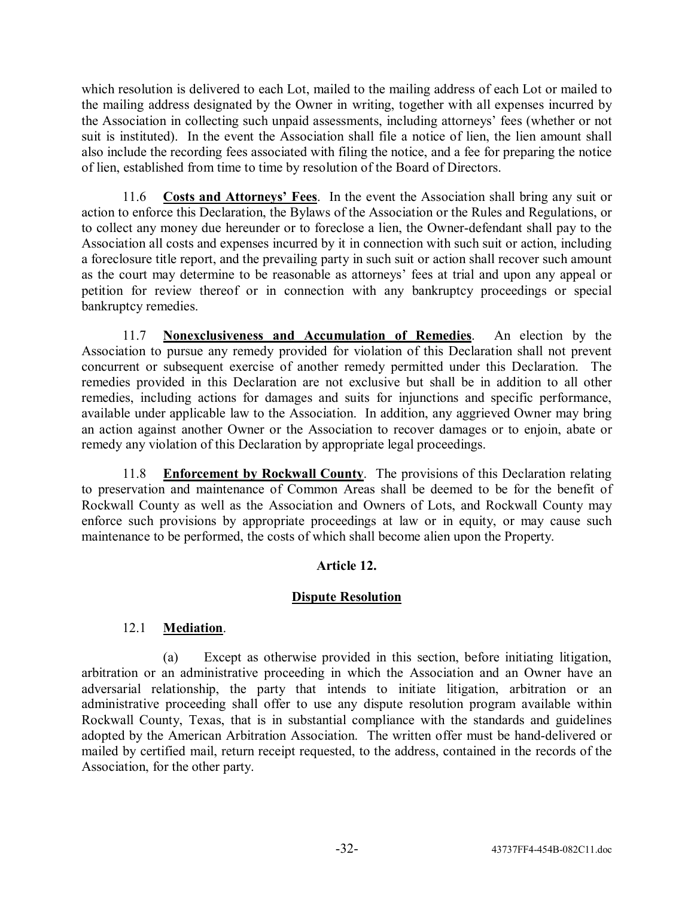which resolution is delivered to each Lot, mailed to the mailing address of each Lot or mailed to the mailing address designated by the Owner in writing, together with all expenses incurred by the Association in collecting such unpaid assessments, including attorneys' fees (whether or not suit is instituted). In the event the Association shall file a notice of lien, the lien amount shall also include the recording fees associated with filing the notice, and a fee for preparing the notice of lien, established from time to time by resolution of the Board of Directors.

11.6 **Costs and Attorneysí Fees**. In the event the Association shall bring any suit or action to enforce this Declaration, the Bylaws of the Association or the Rules and Regulations, or to collect any money due hereunder or to foreclose a lien, the Owner-defendant shall pay to the Association all costs and expenses incurred by it in connection with such suit or action, including a foreclosure title report, and the prevailing party in such suit or action shall recover such amount as the court may determine to be reasonable as attorneys' fees at trial and upon any appeal or petition for review thereof or in connection with any bankruptcy proceedings or special bankruptcy remedies.

11.7 **Nonexclusiveness and Accumulation of Remedies**. An election by the Association to pursue any remedy provided for violation of this Declaration shall not prevent concurrent or subsequent exercise of another remedy permitted under this Declaration. The remedies provided in this Declaration are not exclusive but shall be in addition to all other remedies, including actions for damages and suits for injunctions and specific performance, available under applicable law to the Association. In addition, any aggrieved Owner may bring an action against another Owner or the Association to recover damages or to enjoin, abate or remedy any violation of this Declaration by appropriate legal proceedings.

11.8 **Enforcement by Rockwall County**. The provisions of this Declaration relating to preservation and maintenance of Common Areas shall be deemed to be for the benefit of Rockwall County as well as the Association and Owners of Lots, and Rockwall County may enforce such provisions by appropriate proceedings at law or in equity, or may cause such maintenance to be performed, the costs of which shall become alien upon the Property.

## **Article 12.**

## **Dispute Resolution**

## 12.1 **Mediation**.

(a) Except as otherwise provided in this section, before initiating litigation, arbitration or an administrative proceeding in which the Association and an Owner have an adversarial relationship, the party that intends to initiate litigation, arbitration or an administrative proceeding shall offer to use any dispute resolution program available within Rockwall County, Texas, that is in substantial compliance with the standards and guidelines adopted by the American Arbitration Association. The written offer must be hand-delivered or mailed by certified mail, return receipt requested, to the address, contained in the records of the Association, for the other party.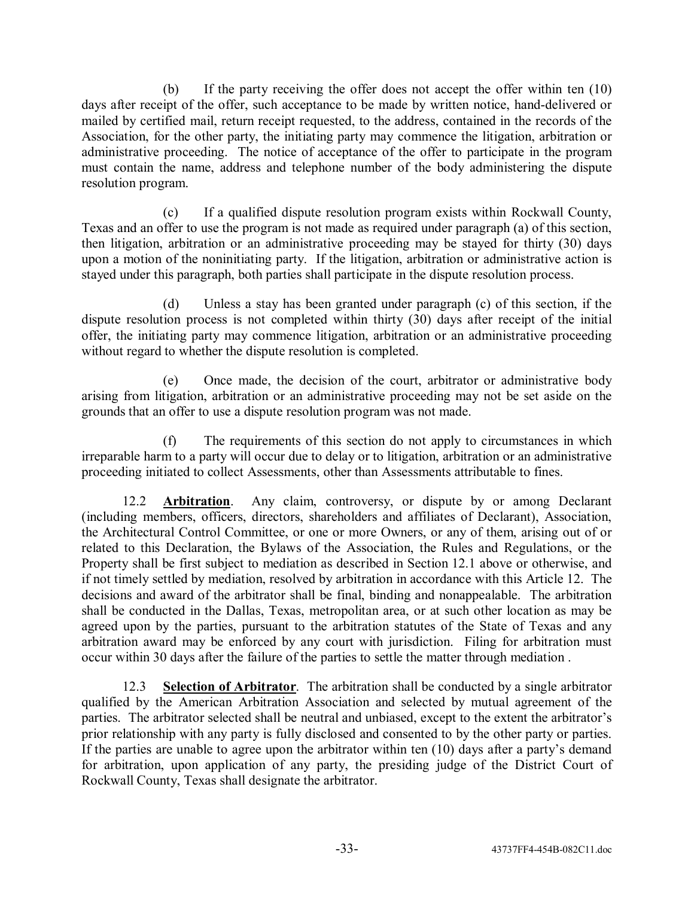(b) If the party receiving the offer does not accept the offer within ten (10) days after receipt of the offer, such acceptance to be made by written notice, hand-delivered or mailed by certified mail, return receipt requested, to the address, contained in the records of the Association, for the other party, the initiating party may commence the litigation, arbitration or administrative proceeding. The notice of acceptance of the offer to participate in the program must contain the name, address and telephone number of the body administering the dispute resolution program.

(c) If a qualified dispute resolution program exists within Rockwall County, Texas and an offer to use the program is not made as required under paragraph (a) of this section, then litigation, arbitration or an administrative proceeding may be stayed for thirty (30) days upon a motion of the noninitiating party. If the litigation, arbitration or administrative action is stayed under this paragraph, both parties shall participate in the dispute resolution process.

(d) Unless a stay has been granted under paragraph (c) of this section, if the dispute resolution process is not completed within thirty (30) days after receipt of the initial offer, the initiating party may commence litigation, arbitration or an administrative proceeding without regard to whether the dispute resolution is completed.

(e) Once made, the decision of the court, arbitrator or administrative body arising from litigation, arbitration or an administrative proceeding may not be set aside on the grounds that an offer to use a dispute resolution program was not made.

(f) The requirements of this section do not apply to circumstances in which irreparable harm to a party will occur due to delay or to litigation, arbitration or an administrative proceeding initiated to collect Assessments, other than Assessments attributable to fines.

12.2 **Arbitration**. Any claim, controversy, or dispute by or among Declarant (including members, officers, directors, shareholders and affiliates of Declarant), Association, the Architectural Control Committee, or one or more Owners, or any of them, arising out of or related to this Declaration, the Bylaws of the Association, the Rules and Regulations, or the Property shall be first subject to mediation as described in Section 12.1 above or otherwise, and if not timely settled by mediation, resolved by arbitration in accordance with this Article 12. The decisions and award of the arbitrator shall be final, binding and nonappealable. The arbitration shall be conducted in the Dallas, Texas, metropolitan area, or at such other location as may be agreed upon by the parties, pursuant to the arbitration statutes of the State of Texas and any arbitration award may be enforced by any court with jurisdiction. Filing for arbitration must occur within 30 days after the failure of the parties to settle the matter through mediation .

12.3 **Selection of Arbitrator**. The arbitration shall be conducted by a single arbitrator qualified by the American Arbitration Association and selected by mutual agreement of the parties. The arbitrator selected shall be neutral and unbiased, except to the extent the arbitrator's prior relationship with any party is fully disclosed and consented to by the other party or parties. If the parties are unable to agree upon the arbitrator within ten  $(10)$  days after a party's demand for arbitration, upon application of any party, the presiding judge of the District Court of Rockwall County, Texas shall designate the arbitrator.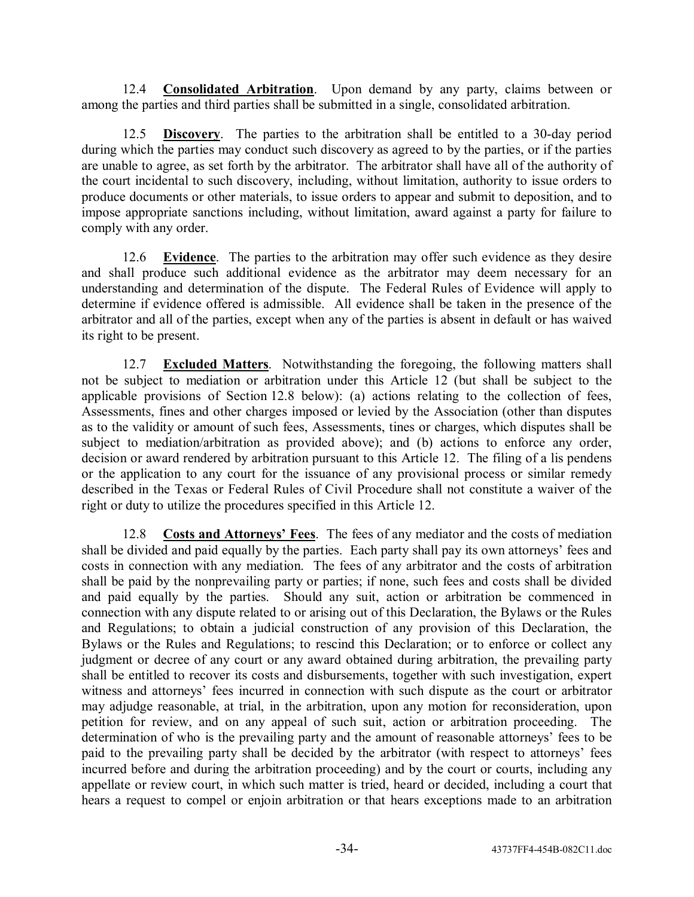12.4 **Consolidated Arbitration**. Upon demand by any party, claims between or among the parties and third parties shall be submitted in a single, consolidated arbitration.

12.5 **Discovery**. The parties to the arbitration shall be entitled to a 30-day period during which the parties may conduct such discovery as agreed to by the parties, or if the parties are unable to agree, as set forth by the arbitrator. The arbitrator shall have all of the authority of the court incidental to such discovery, including, without limitation, authority to issue orders to produce documents or other materials, to issue orders to appear and submit to deposition, and to impose appropriate sanctions including, without limitation, award against a party for failure to comply with any order.

12.6 **Evidence**. The parties to the arbitration may offer such evidence as they desire and shall produce such additional evidence as the arbitrator may deem necessary for an understanding and determination of the dispute. The Federal Rules of Evidence will apply to determine if evidence offered is admissible. All evidence shall be taken in the presence of the arbitrator and all of the parties, except when any of the parties is absent in default or has waived its right to be present.

12.7 **Excluded Matters**. Notwithstanding the foregoing, the following matters shall not be subject to mediation or arbitration under this Article 12 (but shall be subject to the applicable provisions of Section 12.8 below): (a) actions relating to the collection of fees, Assessments, fines and other charges imposed or levied by the Association (other than disputes as to the validity or amount of such fees, Assessments, tines or charges, which disputes shall be subject to mediation/arbitration as provided above); and (b) actions to enforce any order, decision or award rendered by arbitration pursuant to this Article 12. The filing of a lis pendens or the application to any court for the issuance of any provisional process or similar remedy described in the Texas or Federal Rules of Civil Procedure shall not constitute a waiver of the right or duty to utilize the procedures specified in this Article 12.

12.8 **Costs and Attorneys' Fees**. The fees of any mediator and the costs of mediation shall be divided and paid equally by the parties. Each party shall pay its own attorneys' fees and costs in connection with any mediation. The fees of any arbitrator and the costs of arbitration shall be paid by the nonprevailing party or parties; if none, such fees and costs shall be divided and paid equally by the parties. Should any suit, action or arbitration be commenced in connection with any dispute related to or arising out of this Declaration, the Bylaws or the Rules and Regulations; to obtain a judicial construction of any provision of this Declaration, the Bylaws or the Rules and Regulations; to rescind this Declaration; or to enforce or collect any judgment or decree of any court or any award obtained during arbitration, the prevailing party shall be entitled to recover its costs and disbursements, together with such investigation, expert witness and attorneys' fees incurred in connection with such dispute as the court or arbitrator may adjudge reasonable, at trial, in the arbitration, upon any motion for reconsideration, upon petition for review, and on any appeal of such suit, action or arbitration proceeding. The determination of who is the prevailing party and the amount of reasonable attorneys' fees to be paid to the prevailing party shall be decided by the arbitrator (with respect to attorneys' fees incurred before and during the arbitration proceeding) and by the court or courts, including any appellate or review court, in which such matter is tried, heard or decided, including a court that hears a request to compel or enjoin arbitration or that hears exceptions made to an arbitration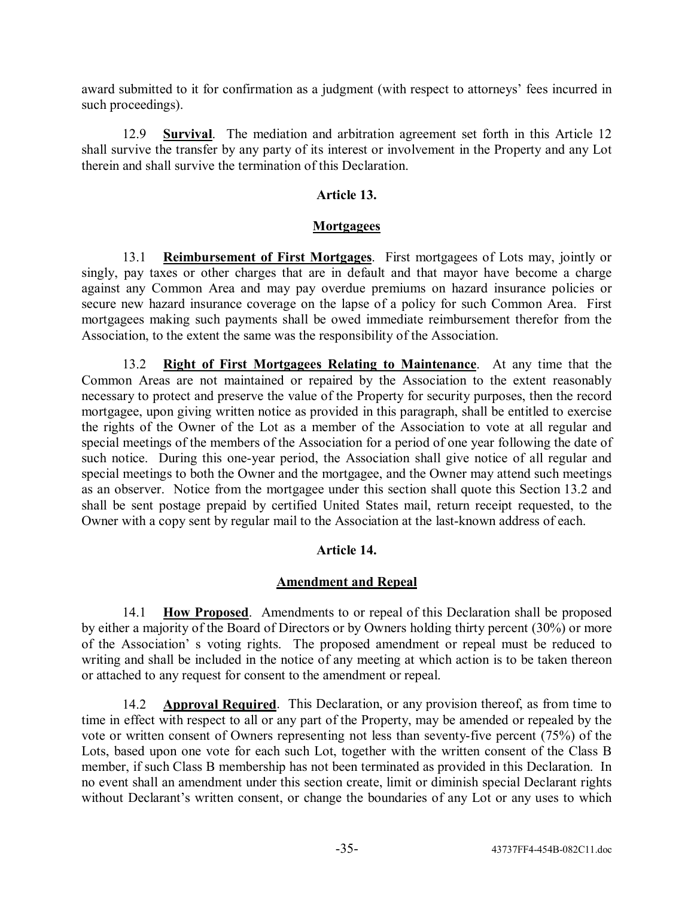award submitted to it for confirmation as a judgment (with respect to attorneys' fees incurred in such proceedings).

12.9 **Survival**. The mediation and arbitration agreement set forth in this Article 12 shall survive the transfer by any party of its interest or involvement in the Property and any Lot therein and shall survive the termination of this Declaration.

## **Article 13.**

## **Mortgagees**

13.1 **Reimbursement of First Mortgages**. First mortgagees of Lots may, jointly or singly, pay taxes or other charges that are in default and that mayor have become a charge against any Common Area and may pay overdue premiums on hazard insurance policies or secure new hazard insurance coverage on the lapse of a policy for such Common Area. First mortgagees making such payments shall be owed immediate reimbursement therefor from the Association, to the extent the same was the responsibility of the Association.

13.2 **Right of First Mortgagees Relating to Maintenance**. At any time that the Common Areas are not maintained or repaired by the Association to the extent reasonably necessary to protect and preserve the value of the Property for security purposes, then the record mortgagee, upon giving written notice as provided in this paragraph, shall be entitled to exercise the rights of the Owner of the Lot as a member of the Association to vote at all regular and special meetings of the members of the Association for a period of one year following the date of such notice. During this one-year period, the Association shall give notice of all regular and special meetings to both the Owner and the mortgagee, and the Owner may attend such meetings as an observer. Notice from the mortgagee under this section shall quote this Section 13.2 and shall be sent postage prepaid by certified United States mail, return receipt requested, to the Owner with a copy sent by regular mail to the Association at the last-known address of each.

## **Article 14.**

## **Amendment and Repeal**

14.1 **How Proposed**. Amendments to or repeal of this Declaration shall be proposed by either a majority of the Board of Directors or by Owners holding thirty percent (30%) or more of the Association's voting rights. The proposed amendment or repeal must be reduced to writing and shall be included in the notice of any meeting at which action is to be taken thereon or attached to any request for consent to the amendment or repeal.

14.2 **Approval Required**. This Declaration, or any provision thereof, as from time to time in effect with respect to all or any part of the Property, may be amended or repealed by the vote or written consent of Owners representing not less than seventy-five percent (75%) of the Lots, based upon one vote for each such Lot, together with the written consent of the Class B member, if such Class B membership has not been terminated as provided in this Declaration. In no event shall an amendment under this section create, limit or diminish special Declarant rights without Declarant's written consent, or change the boundaries of any Lot or any uses to which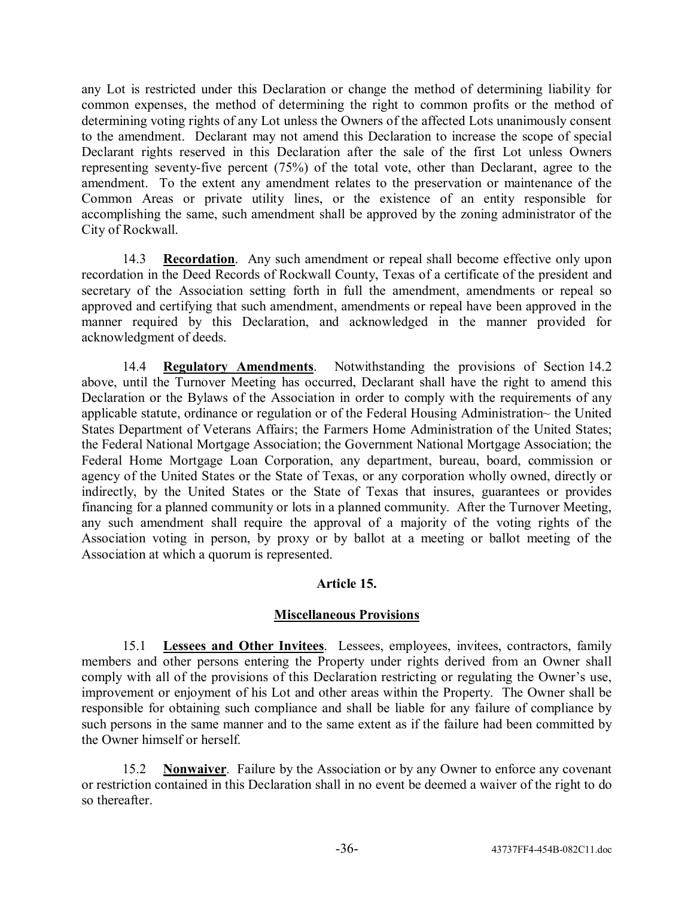any Lot is restricted under this Declaration or change the method of determining liability for common expenses, the method of determining the right to common profits or the method of determining voting rights of any Lot unless the Owners of the affected Lots unanimously consent to the amendment. Declarant may not amend this Declaration to increase the scope of special Declarant rights reserved in this Declaration after the sale of the first Lot unless Owners representing seventy-five percent (75%) of the total vote, other than Declarant, agree to the amendment. To the extent any amendment relates to the preservation or maintenance of the Common Areas or private utility lines, or the existence of an entity responsible for accomplishing the same, such amendment shall be approved by the zoning administrator of the City of Rockwall.

14.3 **Recordation**. Any such amendment or repeal shall become effective only upon recordation in the Deed Records of Rockwall County, Texas of a certificate of the president and secretary of the Association setting forth in full the amendment, amendments or repeal so approved and certifying that such amendment, amendments or repeal have been approved in the manner required by this Declaration, and acknowledged in the manner provided for acknowledgment of deeds.

14.4 **Regulatory Amendments**. Notwithstanding the provisions of Section 14.2 above, until the Turnover Meeting has occurred, Declarant shall have the right to amend this Declaration or the Bylaws of the Association in order to comply with the requirements of any applicable statute, ordinance or regulation or of the Federal Housing Administration~ the United States Department of Veterans Affairs; the Farmers Home Administration of the United States; the Federal National Mortgage Association; the Government National Mortgage Association; the Federal Home Mortgage Loan Corporation, any department, bureau, board, commission or agency of the United States or the State of Texas, or any corporation wholly owned, directly or indirectly, by the United States or the State of Texas that insures, guarantees or provides financing for a planned community or lots in a planned community. After the Turnover Meeting, any such amendment shall require the approval of a majority of the voting rights of the Association voting in person, by proxy or by ballot at a meeting or ballot meeting of the Association at which a quorum is represented.

## **Article 15.**

# **Miscellaneous Provisions**

15.1 **Lessees and Other Invitees**. Lessees, employees, invitees, contractors, family members and other persons entering the Property under rights derived from an Owner shall comply with all of the provisions of this Declaration restricting or regulating the Owner's use, improvement or enjoyment of his Lot and other areas within the Property. The Owner shall be responsible for obtaining such compliance and shall be liable for any failure of compliance by such persons in the same manner and to the same extent as if the failure had been committed by the Owner himself or herself.

15.2 **Nonwaiver**. Failure by the Association or by any Owner to enforce any covenant or restriction contained in this Declaration shall in no event be deemed a waiver of the right to do so thereafter.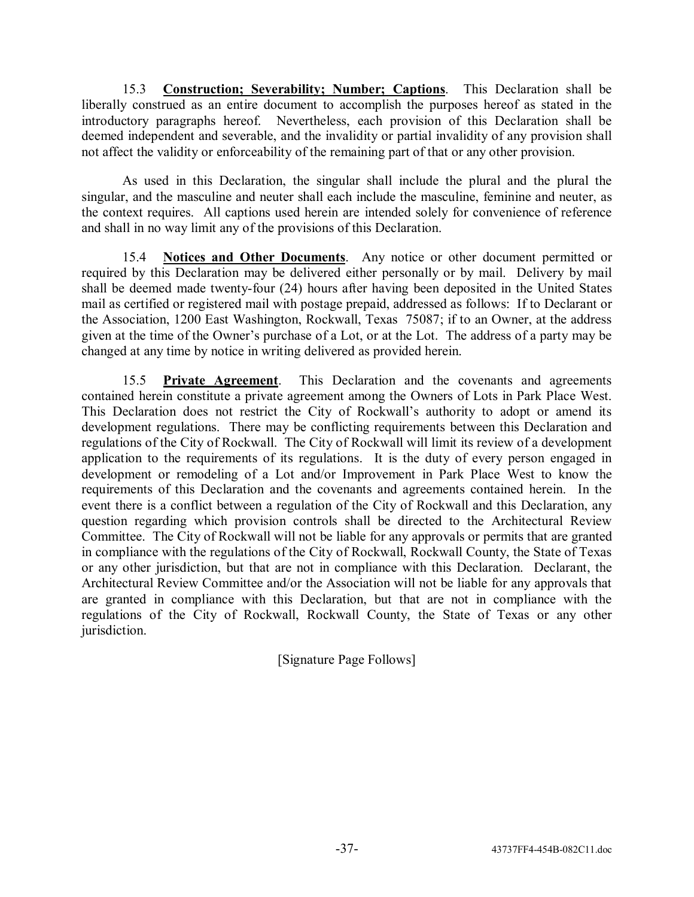15.3 **Construction; Severability; Number; Captions**. This Declaration shall be liberally construed as an entire document to accomplish the purposes hereof as stated in the introductory paragraphs hereof. Nevertheless, each provision of this Declaration shall be deemed independent and severable, and the invalidity or partial invalidity of any provision shall not affect the validity or enforceability of the remaining part of that or any other provision.

As used in this Declaration, the singular shall include the plural and the plural the singular, and the masculine and neuter shall each include the masculine, feminine and neuter, as the context requires. All captions used herein are intended solely for convenience of reference and shall in no way limit any of the provisions of this Declaration.

15.4 **Notices and Other Documents**. Any notice or other document permitted or required by this Declaration may be delivered either personally or by mail. Delivery by mail shall be deemed made twenty-four (24) hours after having been deposited in the United States mail as certified or registered mail with postage prepaid, addressed as follows: If to Declarant or the Association, 1200 East Washington, Rockwall, Texas 75087; if to an Owner, at the address given at the time of the Owner's purchase of a Lot, or at the Lot. The address of a party may be changed at any time by notice in writing delivered as provided herein.

15.5 **Private Agreement**. This Declaration and the covenants and agreements contained herein constitute a private agreement among the Owners of Lots in Park Place West. This Declaration does not restrict the City of Rockwall's authority to adopt or amend its development regulations. There may be conflicting requirements between this Declaration and regulations of the City of Rockwall. The City of Rockwall will limit its review of a development application to the requirements of its regulations. It is the duty of every person engaged in development or remodeling of a Lot and/or Improvement in Park Place West to know the requirements of this Declaration and the covenants and agreements contained herein. In the event there is a conflict between a regulation of the City of Rockwall and this Declaration, any question regarding which provision controls shall be directed to the Architectural Review Committee. The City of Rockwall will not be liable for any approvals or permits that are granted in compliance with the regulations of the City of Rockwall, Rockwall County, the State of Texas or any other jurisdiction, but that are not in compliance with this Declaration. Declarant, the Architectural Review Committee and/or the Association will not be liable for any approvals that are granted in compliance with this Declaration, but that are not in compliance with the regulations of the City of Rockwall, Rockwall County, the State of Texas or any other jurisdiction.

[Signature Page Follows]